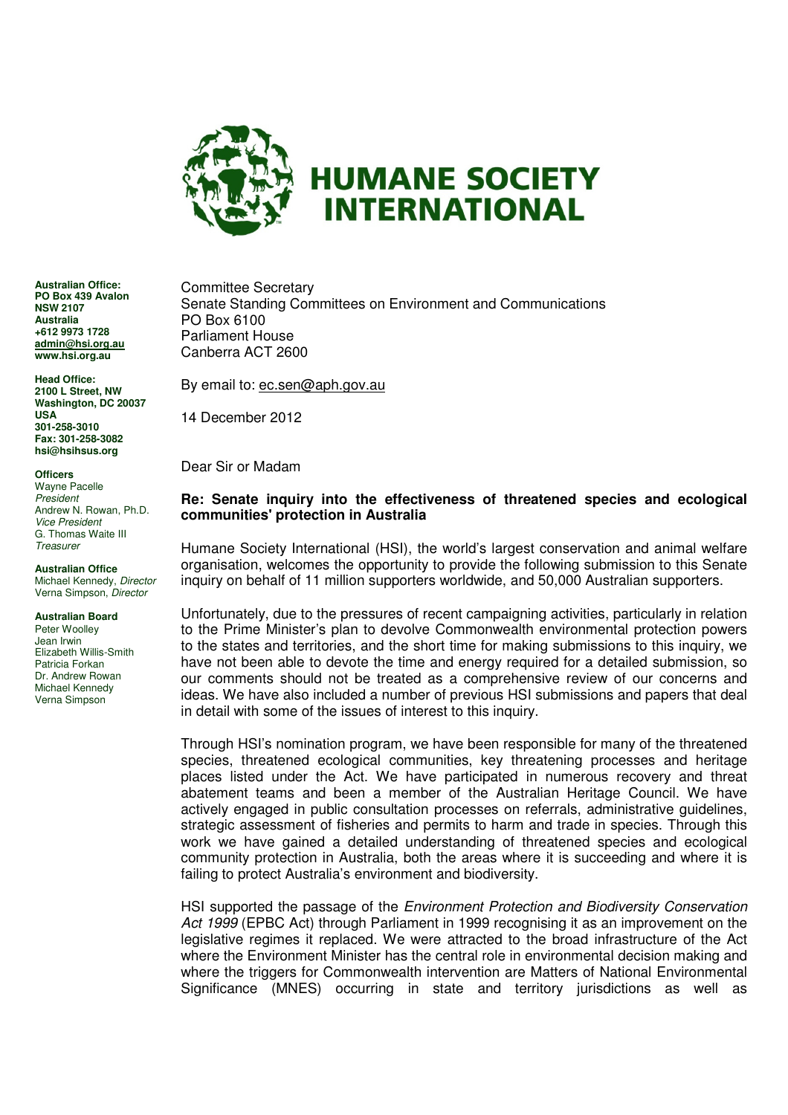

**Australian Office: PO Box 439 Avalon NSW 2107 Australia +612 9973 1728 admin@hsi.org.au www.hsi.org.au** 

**Head Office: 2100 L Street, NW Washington, DC 20037 USA 301-258-3010 Fax: 301-258-3082 hsi@hsihsus.org** 

**Officers** 

Wayne Pacelle President Andrew N. Rowan, Ph.D. Vice President G. Thomas Waite III **Treasurer** 

**Australian Office**  Michael Kennedy, Director Verna Simpson, Director

#### **Australian Board**

Peter Woolley Jean Irwin Elizabeth Willis-Smith Patricia Forkan Dr. Andrew Rowan Michael Kennedy Verna Simpson

Committee Secretary Senate Standing Committees on Environment and Communications PO Box 6100 Parliament House Canberra ACT 2600

By email to: ec.sen@aph.gov.au

14 December 2012

Dear Sir or Madam

#### **Re: Senate inquiry into the effectiveness of threatened species and ecological communities' protection in Australia**

Humane Society International (HSI), the world's largest conservation and animal welfare organisation, welcomes the opportunity to provide the following submission to this Senate inquiry on behalf of 11 million supporters worldwide, and 50,000 Australian supporters.

Unfortunately, due to the pressures of recent campaigning activities, particularly in relation to the Prime Minister's plan to devolve Commonwealth environmental protection powers to the states and territories, and the short time for making submissions to this inquiry, we have not been able to devote the time and energy required for a detailed submission, so our comments should not be treated as a comprehensive review of our concerns and ideas. We have also included a number of previous HSI submissions and papers that deal in detail with some of the issues of interest to this inquiry.

Through HSI's nomination program, we have been responsible for many of the threatened species, threatened ecological communities, key threatening processes and heritage places listed under the Act. We have participated in numerous recovery and threat abatement teams and been a member of the Australian Heritage Council. We have actively engaged in public consultation processes on referrals, administrative guidelines, strategic assessment of fisheries and permits to harm and trade in species. Through this work we have gained a detailed understanding of threatened species and ecological community protection in Australia, both the areas where it is succeeding and where it is failing to protect Australia's environment and biodiversity.

HSI supported the passage of the Environment Protection and Biodiversity Conservation Act 1999 (EPBC Act) through Parliament in 1999 recognising it as an improvement on the legislative regimes it replaced. We were attracted to the broad infrastructure of the Act where the Environment Minister has the central role in environmental decision making and where the triggers for Commonwealth intervention are Matters of National Environmental Significance (MNES) occurring in state and territory jurisdictions as well as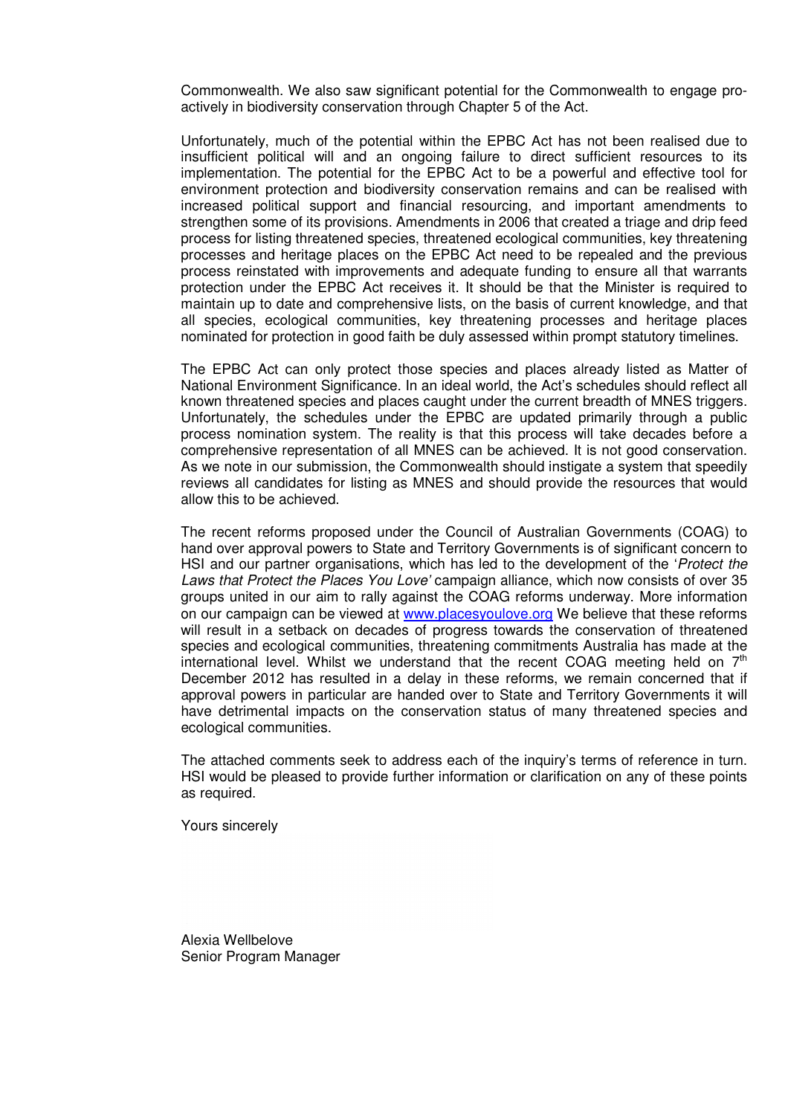Commonwealth. We also saw significant potential for the Commonwealth to engage proactively in biodiversity conservation through Chapter 5 of the Act.

Unfortunately, much of the potential within the EPBC Act has not been realised due to insufficient political will and an ongoing failure to direct sufficient resources to its implementation. The potential for the EPBC Act to be a powerful and effective tool for environment protection and biodiversity conservation remains and can be realised with increased political support and financial resourcing, and important amendments to strengthen some of its provisions. Amendments in 2006 that created a triage and drip feed process for listing threatened species, threatened ecological communities, key threatening processes and heritage places on the EPBC Act need to be repealed and the previous process reinstated with improvements and adequate funding to ensure all that warrants protection under the EPBC Act receives it. It should be that the Minister is required to maintain up to date and comprehensive lists, on the basis of current knowledge, and that all species, ecological communities, key threatening processes and heritage places nominated for protection in good faith be duly assessed within prompt statutory timelines.

The EPBC Act can only protect those species and places already listed as Matter of National Environment Significance. In an ideal world, the Act's schedules should reflect all known threatened species and places caught under the current breadth of MNES triggers. Unfortunately, the schedules under the EPBC are updated primarily through a public process nomination system. The reality is that this process will take decades before a comprehensive representation of all MNES can be achieved. It is not good conservation. As we note in our submission, the Commonwealth should instigate a system that speedily reviews all candidates for listing as MNES and should provide the resources that would allow this to be achieved.

The recent reforms proposed under the Council of Australian Governments (COAG) to hand over approval powers to State and Territory Governments is of significant concern to HSI and our partner organisations, which has led to the development of the 'Protect the Laws that Protect the Places You Love' campaign alliance, which now consists of over 35 groups united in our aim to rally against the COAG reforms underway. More information on our campaign can be viewed at www.placesyoulove.org We believe that these reforms will result in a setback on decades of progress towards the conservation of threatened species and ecological communities, threatening commitments Australia has made at the international level. Whilst we understand that the recent COAG meeting held on  $7<sup>th</sup>$ December 2012 has resulted in a delay in these reforms, we remain concerned that if approval powers in particular are handed over to State and Territory Governments it will have detrimental impacts on the conservation status of many threatened species and ecological communities.

The attached comments seek to address each of the inquiry's terms of reference in turn. HSI would be pleased to provide further information or clarification on any of these points as required.

Yours sincerely

Alexia Wellbelove Senior Program Manager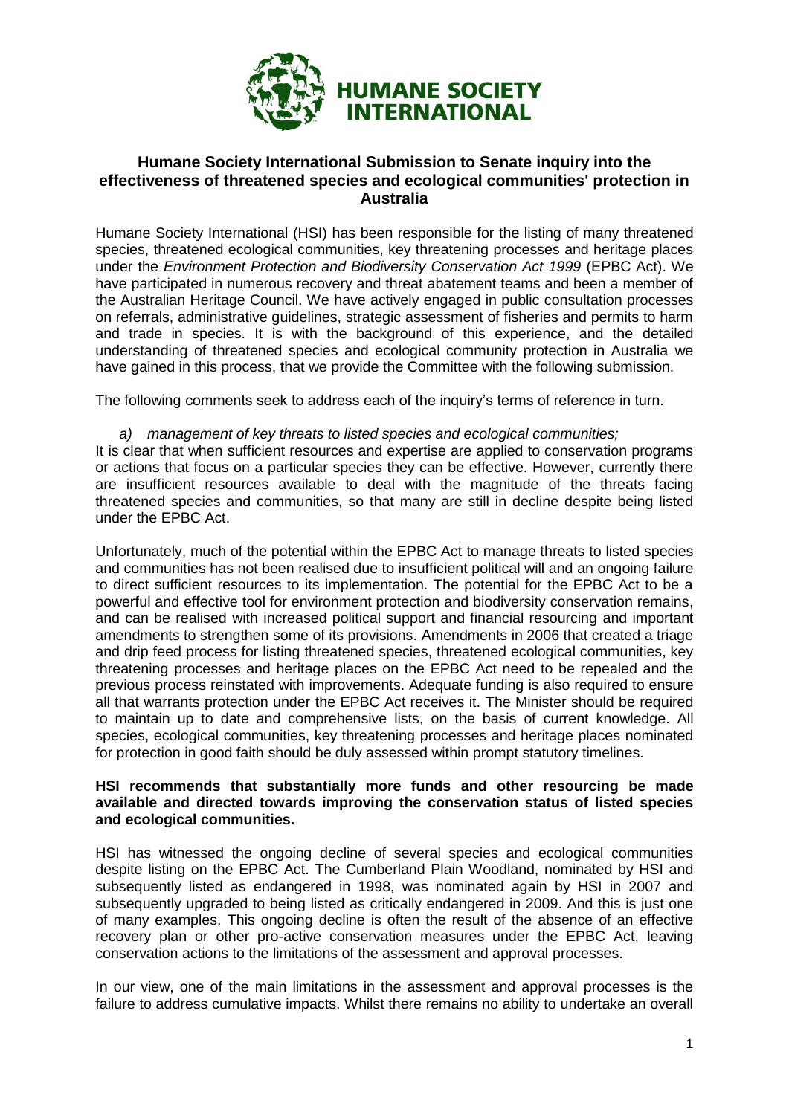

# **Humane Society International Submission to Senate inquiry into the effectiveness of threatened species and ecological communities' protection in Australia**

Humane Society International (HSI) has been responsible for the listing of many threatened species, threatened ecological communities, key threatening processes and heritage places under the *Environment Protection and Biodiversity Conservation Act 1999* (EPBC Act). We have participated in numerous recovery and threat abatement teams and been a member of the Australian Heritage Council. We have actively engaged in public consultation processes on referrals, administrative guidelines, strategic assessment of fisheries and permits to harm and trade in species. It is with the background of this experience, and the detailed understanding of threatened species and ecological community protection in Australia we have gained in this process, that we provide the Committee with the following submission.

The following comments seek to address each of the inquiry's terms of reference in turn.

#### *a) management of key threats to listed species and ecological communities;*

It is clear that when sufficient resources and expertise are applied to conservation programs or actions that focus on a particular species they can be effective. However, currently there are insufficient resources available to deal with the magnitude of the threats facing threatened species and communities, so that many are still in decline despite being listed under the EPBC Act.

Unfortunately, much of the potential within the EPBC Act to manage threats to listed species and communities has not been realised due to insufficient political will and an ongoing failure to direct sufficient resources to its implementation. The potential for the EPBC Act to be a powerful and effective tool for environment protection and biodiversity conservation remains, and can be realised with increased political support and financial resourcing and important amendments to strengthen some of its provisions. Amendments in 2006 that created a triage and drip feed process for listing threatened species, threatened ecological communities, key threatening processes and heritage places on the EPBC Act need to be repealed and the previous process reinstated with improvements. Adequate funding is also required to ensure all that warrants protection under the EPBC Act receives it. The Minister should be required to maintain up to date and comprehensive lists, on the basis of current knowledge. All species, ecological communities, key threatening processes and heritage places nominated for protection in good faith should be duly assessed within prompt statutory timelines.

#### **HSI recommends that substantially more funds and other resourcing be made available and directed towards improving the conservation status of listed species and ecological communities.**

HSI has witnessed the ongoing decline of several species and ecological communities despite listing on the EPBC Act. The Cumberland Plain Woodland, nominated by HSI and subsequently listed as endangered in 1998, was nominated again by HSI in 2007 and subsequently upgraded to being listed as critically endangered in 2009. And this is just one of many examples. This ongoing decline is often the result of the absence of an effective recovery plan or other pro-active conservation measures under the EPBC Act, leaving conservation actions to the limitations of the assessment and approval processes.

In our view, one of the main limitations in the assessment and approval processes is the failure to address cumulative impacts. Whilst there remains no ability to undertake an overall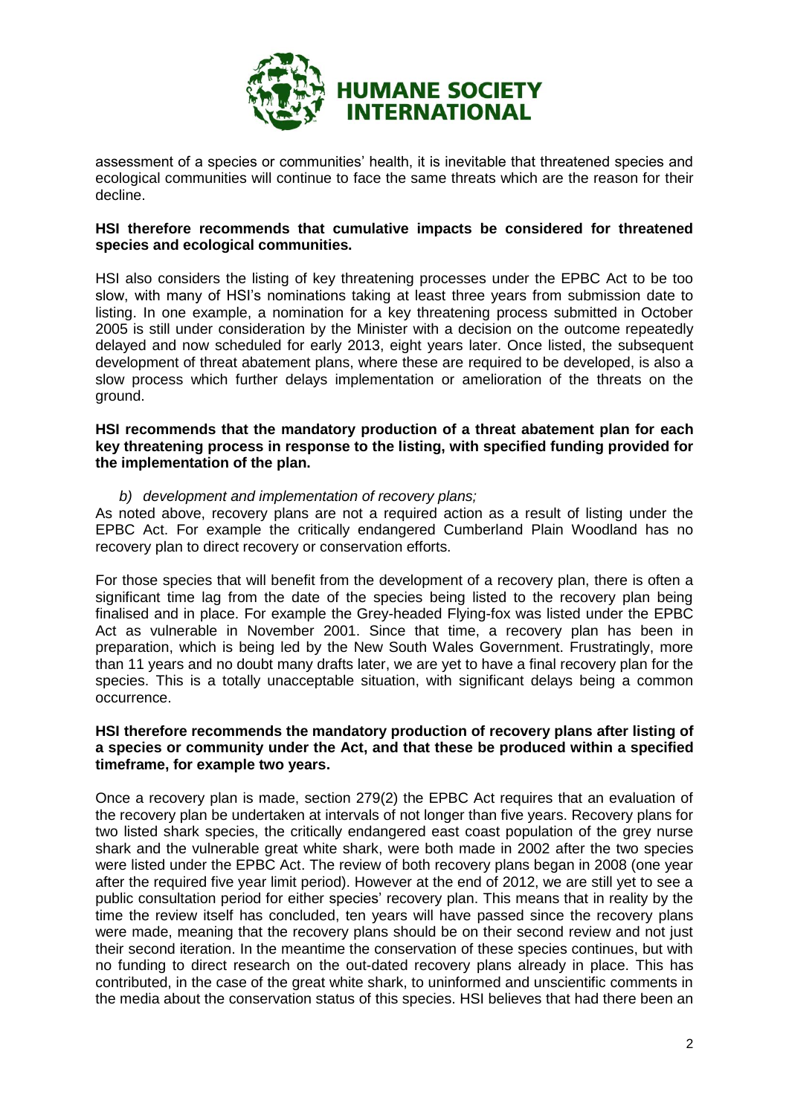

assessment of a species or communities' health, it is inevitable that threatened species and ecological communities will continue to face the same threats which are the reason for their decline.

## **HSI therefore recommends that cumulative impacts be considered for threatened species and ecological communities.**

HSI also considers the listing of key threatening processes under the EPBC Act to be too slow, with many of HSI's nominations taking at least three years from submission date to listing. In one example, a nomination for a key threatening process submitted in October 2005 is still under consideration by the Minister with a decision on the outcome repeatedly delayed and now scheduled for early 2013, eight years later. Once listed, the subsequent development of threat abatement plans, where these are required to be developed, is also a slow process which further delays implementation or amelioration of the threats on the ground.

#### **HSI recommends that the mandatory production of a threat abatement plan for each key threatening process in response to the listing, with specified funding provided for the implementation of the plan.**

*b) development and implementation of recovery plans;*

As noted above, recovery plans are not a required action as a result of listing under the EPBC Act. For example the critically endangered Cumberland Plain Woodland has no recovery plan to direct recovery or conservation efforts.

For those species that will benefit from the development of a recovery plan, there is often a significant time lag from the date of the species being listed to the recovery plan being finalised and in place. For example the Grey-headed Flying-fox was listed under the EPBC Act as vulnerable in November 2001. Since that time, a recovery plan has been in preparation, which is being led by the New South Wales Government. Frustratingly, more than 11 years and no doubt many drafts later, we are yet to have a final recovery plan for the species. This is a totally unacceptable situation, with significant delays being a common occurrence.

## **HSI therefore recommends the mandatory production of recovery plans after listing of a species or community under the Act, and that these be produced within a specified timeframe, for example two years.**

Once a recovery plan is made, section 279(2) the EPBC Act requires that an evaluation of the recovery plan be undertaken at intervals of not longer than five years. Recovery plans for two listed shark species, the critically endangered east coast population of the grey nurse shark and the vulnerable great white shark, were both made in 2002 after the two species were listed under the EPBC Act. The review of both recovery plans began in 2008 (one year after the required five year limit period). However at the end of 2012, we are still yet to see a public consultation period for either species' recovery plan. This means that in reality by the time the review itself has concluded, ten years will have passed since the recovery plans were made, meaning that the recovery plans should be on their second review and not just their second iteration. In the meantime the conservation of these species continues, but with no funding to direct research on the out-dated recovery plans already in place. This has contributed, in the case of the great white shark, to uninformed and unscientific comments in the media about the conservation status of this species. HSI believes that had there been an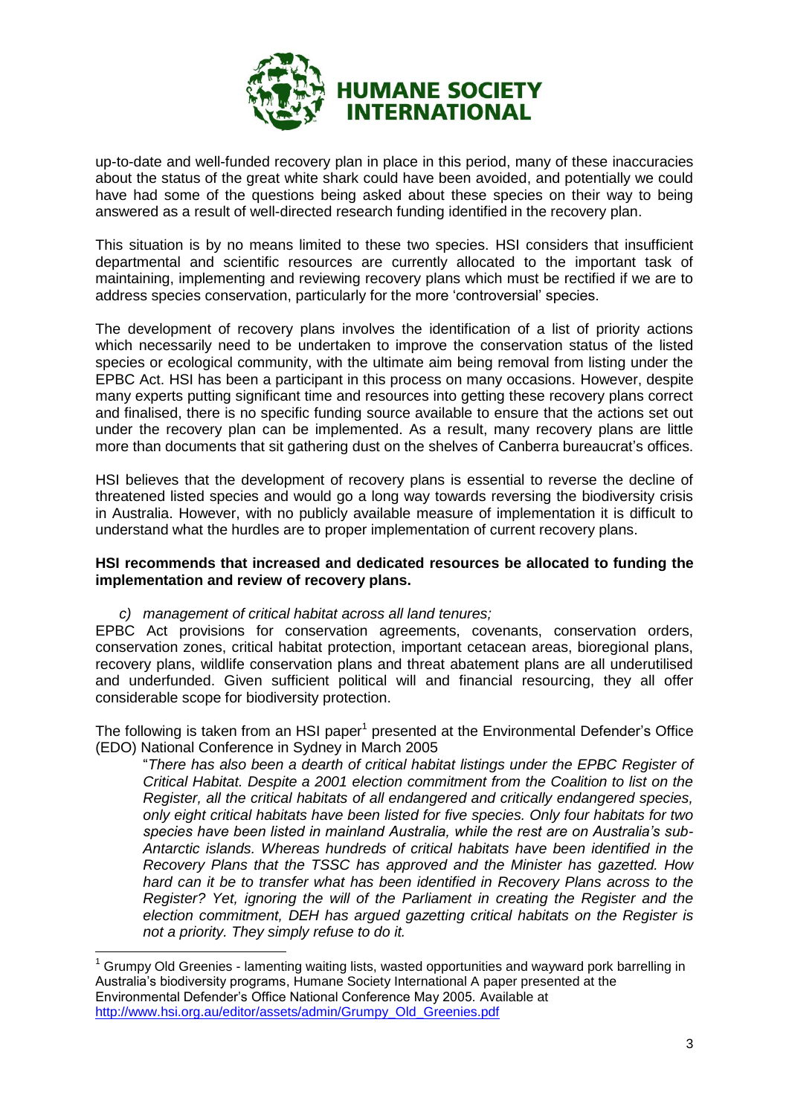

up-to-date and well-funded recovery plan in place in this period, many of these inaccuracies about the status of the great white shark could have been avoided, and potentially we could have had some of the questions being asked about these species on their way to being answered as a result of well-directed research funding identified in the recovery plan.

This situation is by no means limited to these two species. HSI considers that insufficient departmental and scientific resources are currently allocated to the important task of maintaining, implementing and reviewing recovery plans which must be rectified if we are to address species conservation, particularly for the more 'controversial' species.

The development of recovery plans involves the identification of a list of priority actions which necessarily need to be undertaken to improve the conservation status of the listed species or ecological community, with the ultimate aim being removal from listing under the EPBC Act. HSI has been a participant in this process on many occasions. However, despite many experts putting significant time and resources into getting these recovery plans correct and finalised, there is no specific funding source available to ensure that the actions set out under the recovery plan can be implemented. As a result, many recovery plans are little more than documents that sit gathering dust on the shelves of Canberra bureaucrat's offices.

HSI believes that the development of recovery plans is essential to reverse the decline of threatened listed species and would go a long way towards reversing the biodiversity crisis in Australia. However, with no publicly available measure of implementation it is difficult to understand what the hurdles are to proper implementation of current recovery plans.

#### **HSI recommends that increased and dedicated resources be allocated to funding the implementation and review of recovery plans.**

# *c) management of critical habitat across all land tenures;*

-

EPBC Act provisions for conservation agreements, covenants, conservation orders, conservation zones, critical habitat protection, important cetacean areas, bioregional plans, recovery plans, wildlife conservation plans and threat abatement plans are all underutilised and underfunded. Given sufficient political will and financial resourcing, they all offer considerable scope for biodiversity protection.

The following is taken from an HSI paper<sup>1</sup> presented at the Environmental Defender's Office (EDO) National Conference in Sydney in March 2005

<span id="page-4-0"></span>"*There has also been a dearth of critical habitat listings under the EPBC Register of Critical Habitat. Despite a 2001 election commitment from the Coalition to list on the Register, all the critical habitats of all endangered and critically endangered species, only eight critical habitats have been listed for five species. Only four habitats for two species have been listed in mainland Australia, while the rest are on Australia's sub-Antarctic islands. Whereas hundreds of critical habitats have been identified in the Recovery Plans that the TSSC has approved and the Minister has gazetted. How hard can it be to transfer what has been identified in Recovery Plans across to the Register? Yet, ignoring the will of the Parliament in creating the Register and the election commitment, DEH has argued gazetting critical habitats on the Register is not a priority. They simply refuse to do it.* 

<sup>1</sup> Grumpy Old Greenies - lamenting waiting lists, wasted opportunities and wayward pork barrelling in Australia's biodiversity programs, Humane Society International A paper presented at the Environmental Defender's Office National Conference May 2005*.* Available at [http://www.hsi.org.au/editor/assets/admin/Grumpy\\_Old\\_Greenies.pdf](http://www.hsi.org.au/editor/assets/admin/Grumpy_Old_Greenies.pdf)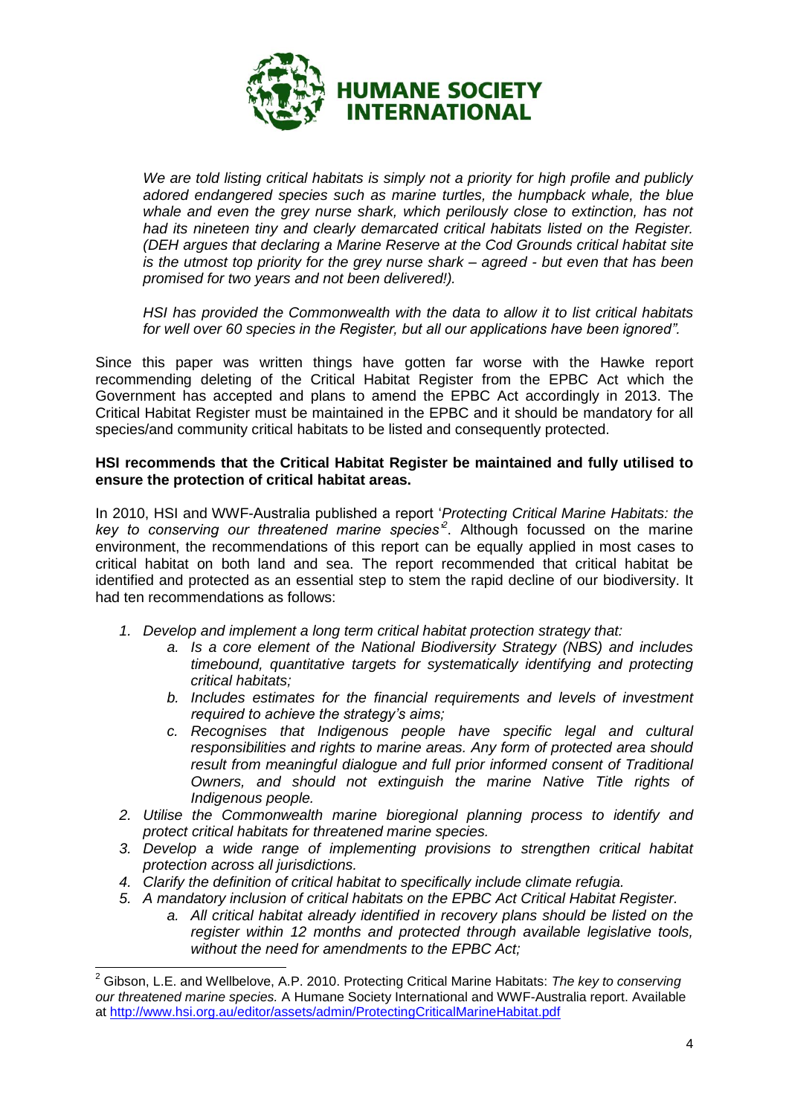

*We are told listing critical habitats is simply not a priority for high profile and publicly adored endangered species such as marine turtles, the humpback whale, the blue whale and even the grey nurse shark, which perilously close to extinction, has not had its nineteen tiny and clearly demarcated critical habitats listed on the Register. (DEH argues that declaring a Marine Reserve at the Cod Grounds critical habitat site is the utmost top priority for the grey nurse shark – agreed - but even that has been promised for two years and not been delivered!).* 

*HSI has provided the Commonwealth with the data to allow it to list critical habitats for well over 60 species in the Register, but all our applications have been ignored".*

Since this paper was written things have gotten far worse with the Hawke report recommending deleting of the Critical Habitat Register from the EPBC Act which the Government has accepted and plans to amend the EPBC Act accordingly in 2013. The Critical Habitat Register must be maintained in the EPBC and it should be mandatory for all species/and community critical habitats to be listed and consequently protected.

#### **HSI recommends that the Critical Habitat Register be maintained and fully utilised to ensure the protection of critical habitat areas.**

In 2010, HSI and WWF-Australia published a report '*Protecting Critical Marine Habitats: the key to conserving our threatened marine species'<sup>2</sup>* . Although focussed on the marine environment, the recommendations of this report can be equally applied in most cases to critical habitat on both land and sea. The report recommended that critical habitat be identified and protected as an essential step to stem the rapid decline of our biodiversity. It had ten recommendations as follows:

- *1. Develop and implement a long term critical habitat protection strategy that:*
	- *a. Is a core element of the National Biodiversity Strategy (NBS) and includes timebound, quantitative targets for systematically identifying and protecting critical habitats;*
	- *b. Includes estimates for the financial requirements and levels of investment required to achieve the strategy's aims;*
	- *c. Recognises that Indigenous people have specific legal and cultural responsibilities and rights to marine areas. Any form of protected area should result from meaningful dialogue and full prior informed consent of Traditional Owners, and should not extinguish the marine Native Title rights of Indigenous people.*
- *2. Utilise the Commonwealth marine bioregional planning process to identify and protect critical habitats for threatened marine species.*
- *3. Develop a wide range of implementing provisions to strengthen critical habitat protection across all jurisdictions.*
- *4. Clarify the definition of critical habitat to specifically include climate refugia.*
- *5. A mandatory inclusion of critical habitats on the EPBC Act Critical Habitat Register.*
	- *a. All critical habitat already identified in recovery plans should be listed on the register within 12 months and protected through available legislative tools, without the need for amendments to the EPBC Act;*

 $\overline{a}$ <sup>2</sup> Gibson, L.E. and Wellbelove, A.P. 2010. Protecting Critical Marine Habitats: *The key to conserving our threatened marine species.* A Humane Society International and WWF-Australia report. Available at<http://www.hsi.org.au/editor/assets/admin/ProtectingCriticalMarineHabitat.pdf>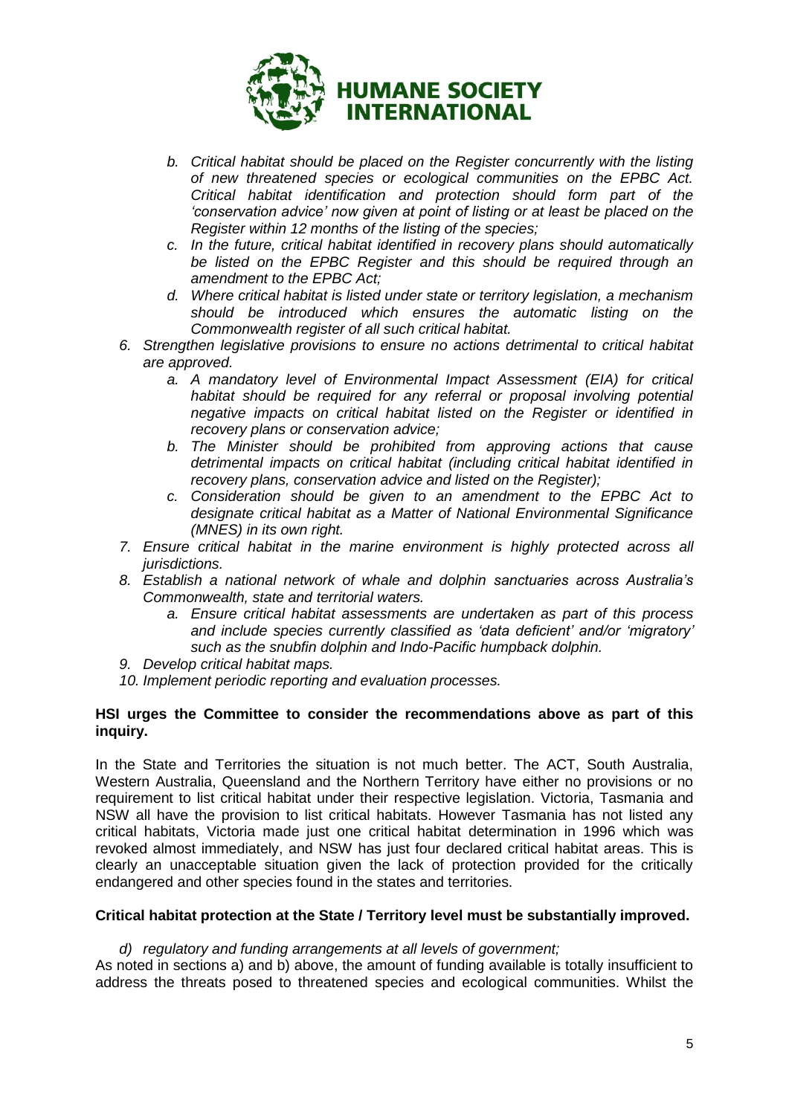

- *b. Critical habitat should be placed on the Register concurrently with the listing of new threatened species or ecological communities on the EPBC Act. Critical habitat identification and protection should form part of the 'conservation advice' now given at point of listing or at least be placed on the Register within 12 months of the listing of the species;*
- *c. In the future, critical habitat identified in recovery plans should automatically be listed on the EPBC Register and this should be required through an amendment to the EPBC Act;*
- *d. Where critical habitat is listed under state or territory legislation, a mechanism should be introduced which ensures the automatic listing on the Commonwealth register of all such critical habitat.*
- *6. Strengthen legislative provisions to ensure no actions detrimental to critical habitat are approved.*
	- *a. A mandatory level of Environmental Impact Assessment (EIA) for critical habitat should be required for any referral or proposal involving potential negative impacts on critical habitat listed on the Register or identified in recovery plans or conservation advice;*
	- *b. The Minister should be prohibited from approving actions that cause detrimental impacts on critical habitat (including critical habitat identified in recovery plans, conservation advice and listed on the Register);*
	- *c. Consideration should be given to an amendment to the EPBC Act to designate critical habitat as a Matter of National Environmental Significance (MNES) in its own right.*
- *7. Ensure critical habitat in the marine environment is highly protected across all jurisdictions.*
- *8. Establish a national network of whale and dolphin sanctuaries across Australia's Commonwealth, state and territorial waters.*
	- *a. Ensure critical habitat assessments are undertaken as part of this process and include species currently classified as 'data deficient' and/or 'migratory' such as the snubfin dolphin and Indo-Pacific humpback dolphin.*
- *9. Develop critical habitat maps.*
- *10. Implement periodic reporting and evaluation processes.*

#### **HSI urges the Committee to consider the recommendations above as part of this inquiry.**

In the State and Territories the situation is not much better. The ACT, South Australia, Western Australia, Queensland and the Northern Territory have either no provisions or no requirement to list critical habitat under their respective legislation. Victoria, Tasmania and NSW all have the provision to list critical habitats. However Tasmania has not listed any critical habitats, Victoria made just one critical habitat determination in 1996 which was revoked almost immediately, and NSW has just four declared critical habitat areas. This is clearly an unacceptable situation given the lack of protection provided for the critically endangered and other species found in the states and territories.

# **Critical habitat protection at the State / Territory level must be substantially improved.**

#### *d) regulatory and funding arrangements at all levels of government;*

As noted in sections a) and b) above, the amount of funding available is totally insufficient to address the threats posed to threatened species and ecological communities. Whilst the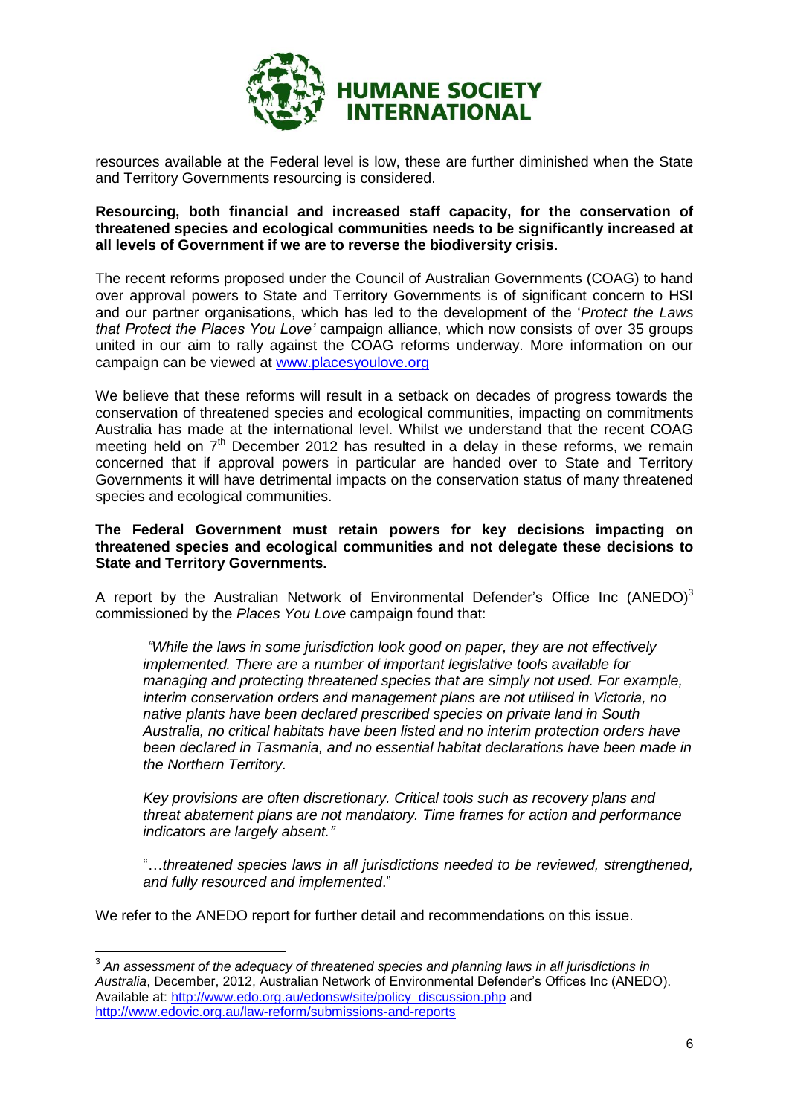

resources available at the Federal level is low, these are further diminished when the State and Territory Governments resourcing is considered.

# **Resourcing, both financial and increased staff capacity, for the conservation of threatened species and ecological communities needs to be significantly increased at all levels of Government if we are to reverse the biodiversity crisis.**

The recent reforms proposed under the Council of Australian Governments (COAG) to hand over approval powers to State and Territory Governments is of significant concern to HSI and our partner organisations, which has led to the development of the '*Protect the Laws that Protect the Places You Love'* campaign alliance, which now consists of over 35 groups united in our aim to rally against the COAG reforms underway. More information on our campaign can be viewed at [www.placesyoulove.org](http://www.placesyoulove.org/)

We believe that these reforms will result in a setback on decades of progress towards the conservation of threatened species and ecological communities, impacting on commitments Australia has made at the international level. Whilst we understand that the recent COAG meeting held on 7<sup>th</sup> December 2012 has resulted in a delay in these reforms, we remain concerned that if approval powers in particular are handed over to State and Territory Governments it will have detrimental impacts on the conservation status of many threatened species and ecological communities.

## **The Federal Government must retain powers for key decisions impacting on threatened species and ecological communities and not delegate these decisions to State and Territory Governments.**

A report by the Australian Network of Environmental Defender's Office Inc  $(ANEDO)^3$ commissioned by the *Places You Love* campaign found that:

<span id="page-7-0"></span>*"While the laws in some jurisdiction look good on paper, they are not effectively implemented. There are a number of important legislative tools available for managing and protecting threatened species that are simply not used. For example, interim conservation orders and management plans are not utilised in Victoria, no native plants have been declared prescribed species on private land in South Australia, no critical habitats have been listed and no interim protection orders have been declared in Tasmania, and no essential habitat declarations have been made in the Northern Territory.*

*Key provisions are often discretionary. Critical tools such as recovery plans and threat abatement plans are not mandatory. Time frames for action and performance indicators are largely absent."*

"…*threatened species laws in all jurisdictions needed to be reviewed, strengthened, and fully resourced and implemented*."

We refer to the ANEDO report for further detail and recommendations on this issue.

 3 *An assessment of the adequacy of threatened species and planning laws in all jurisdictions in Australia*, December, 2012, Australian Network of Environmental Defender's Offices Inc (ANEDO). Available at: [http://www.edo.org.au/edonsw/site/policy\\_discussion.php](http://www.edo.org.au/edonsw/site/policy_discussion.php) and <http://www.edovic.org.au/law-reform/submissions-and-reports>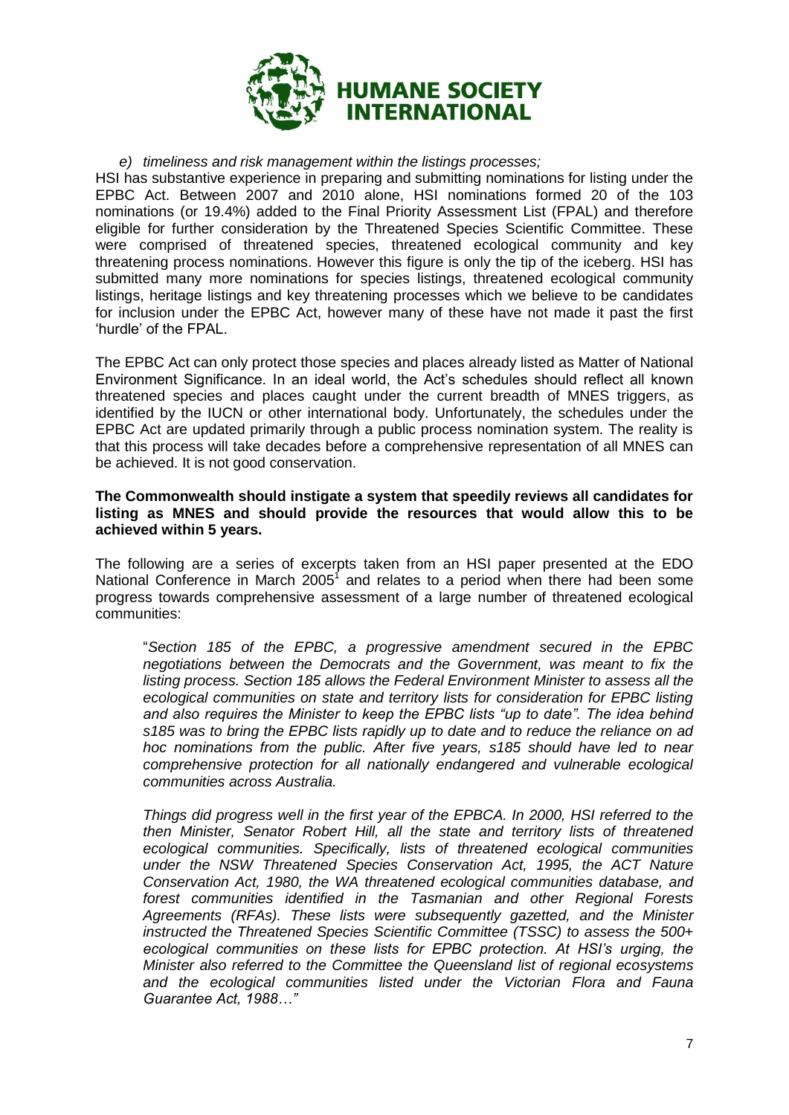

*e) timeliness and risk management within the listings processes;*

HSI has substantive experience in preparing and submitting nominations for listing under the EPBC Act. Between 2007 and 2010 alone, HSI nominations formed 20 of the 103 nominations (or 19.4%) added to the Final Priority Assessment List (FPAL) and therefore eligible for further consideration by the Threatened Species Scientific Committee. These were comprised of threatened species, threatened ecological community and key threatening process nominations. However this figure is only the tip of the iceberg. HSI has submitted many more nominations for species listings, threatened ecological community listings, heritage listings and key threatening processes which we believe to be candidates for inclusion under the EPBC Act, however many of these have not made it past the first 'hurdle' of the FPAL.

The EPBC Act can only protect those species and places already listed as Matter of National Environment Significance. In an ideal world, the Act's schedules should reflect all known threatened species and places caught under the current breadth of MNES triggers, as identified by the IUCN or other international body. Unfortunately, the schedules under the EPBC Act are updated primarily through a public process nomination system. The reality is that this process will take decades before a comprehensive representation of all MNES can be achieved. It is not good conservation.

### **The Commonwealth should instigate a system that speedily reviews all candidates for listing as MNES and should provide the resources that would allow this to be achieved within 5 years.**

The following are a series of excerpts taken from an HSI paper presented at the EDO National Conference in March 200[5](#page-4-0)<sup>1</sup> and relates to a period when there had been some progress towards comprehensive assessment of a large number of threatened ecological communities:

"*Section 185 of the EPBC, a progressive amendment secured in the EPBC negotiations between the Democrats and the Government, was meant to fix the listing process. Section 185 allows the Federal Environment Minister to assess all the ecological communities on state and territory lists for consideration for EPBC listing and also requires the Minister to keep the EPBC lists "up to date". The idea behind s185 was to bring the EPBC lists rapidly up to date and to reduce the reliance on ad hoc nominations from the public. After five years, s185 should have led to near comprehensive protection for all nationally endangered and vulnerable ecological communities across Australia.*

*Things did progress well in the first year of the EPBCA. In 2000, HSI referred to the then Minister, Senator Robert Hill, all the state and territory lists of threatened ecological communities. Specifically, lists of threatened ecological communities*  under the NSW Threatened Species Conservation Act, 1995, the ACT Nature *Conservation Act, 1980, the WA threatened ecological communities database, and forest communities identified in the Tasmanian and other Regional Forests Agreements (RFAs). These lists were subsequently gazetted, and the Minister instructed the Threatened Species Scientific Committee (TSSC) to assess the 500+ ecological communities on these lists for EPBC protection. At HSI's urging, the Minister also referred to the Committee the Queensland list of regional ecosystems and the ecological communities listed under the Victorian Flora and Fauna Guarantee Act, 1988…"*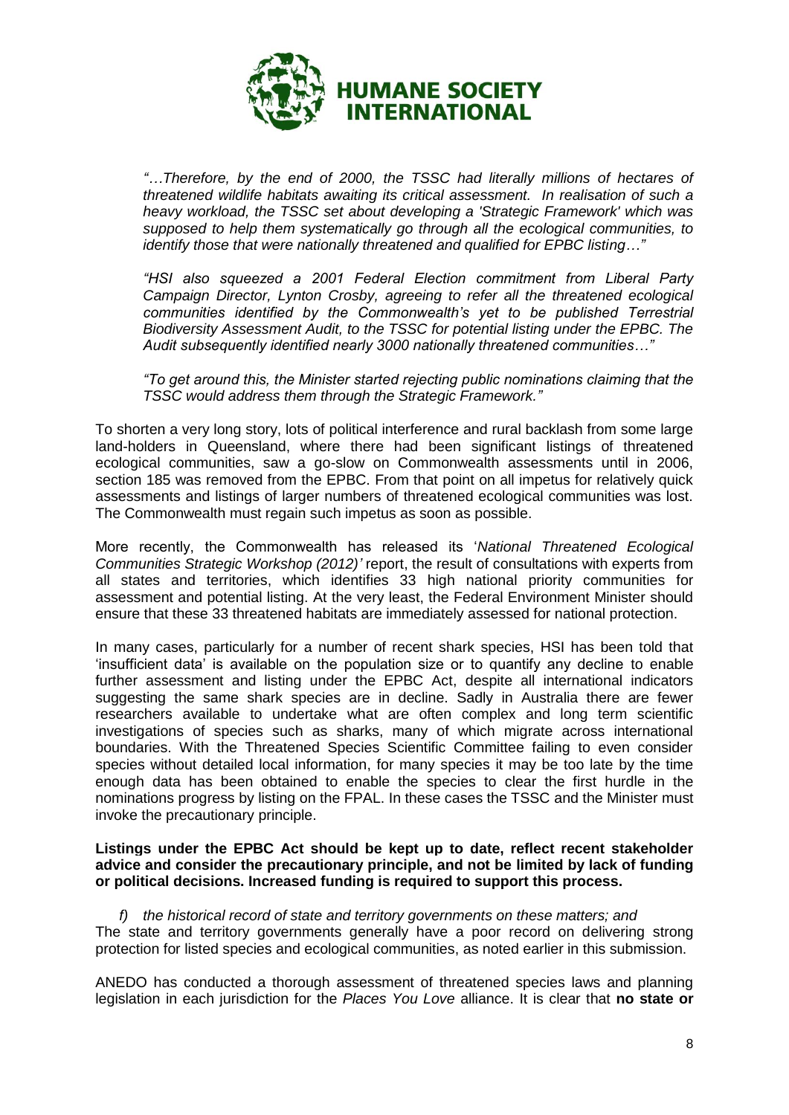

*"…Therefore, by the end of 2000, the TSSC had literally millions of hectares of threatened wildlife habitats awaiting its critical assessment. In realisation of such a heavy workload, the TSSC set about developing a 'Strategic Framework' which was supposed to help them systematically go through all the ecological communities, to identify those that were nationally threatened and qualified for EPBC listing…"*

*"HSI also squeezed a 2001 Federal Election commitment from Liberal Party Campaign Director, Lynton Crosby, agreeing to refer all the threatened ecological communities identified by the Commonwealth's yet to be published Terrestrial Biodiversity Assessment Audit, to the TSSC for potential listing under the EPBC. The Audit subsequently identified nearly 3000 nationally threatened communities…"* 

*"To get around this, the Minister started rejecting public nominations claiming that the TSSC would address them through the Strategic Framework."*

To shorten a very long story, lots of political interference and rural backlash from some large land-holders in Queensland, where there had been significant listings of threatened ecological communities, saw a go-slow on Commonwealth assessments until in 2006, section 185 was removed from the EPBC. From that point on all impetus for relatively quick assessments and listings of larger numbers of threatened ecological communities was lost. The Commonwealth must regain such impetus as soon as possible.

More recently, the Commonwealth has released its '*National Threatened Ecological Communities Strategic Workshop (2012)'* report, the result of consultations with experts from all states and territories, which identifies 33 high national priority communities for assessment and potential listing. At the very least, the Federal Environment Minister should ensure that these 33 threatened habitats are immediately assessed for national protection.

In many cases, particularly for a number of recent shark species, HSI has been told that 'insufficient data' is available on the population size or to quantify any decline to enable further assessment and listing under the EPBC Act, despite all international indicators suggesting the same shark species are in decline. Sadly in Australia there are fewer researchers available to undertake what are often complex and long term scientific investigations of species such as sharks, many of which migrate across international boundaries. With the Threatened Species Scientific Committee failing to even consider species without detailed local information, for many species it may be too late by the time enough data has been obtained to enable the species to clear the first hurdle in the nominations progress by listing on the FPAL. In these cases the TSSC and the Minister must invoke the precautionary principle.

## **Listings under the EPBC Act should be kept up to date, reflect recent stakeholder advice and consider the precautionary principle, and not be limited by lack of funding or political decisions. Increased funding is required to support this process.**

*f) the historical record of state and territory governments on these matters; and* The state and territory governments generally have a poor record on delivering strong protection for listed species and ecological communities, as noted earlier in this submission.

ANEDO has conducted a thorough assessment of threatened species laws and planning legislation in each jurisdiction for the *Places You Love* alliance. It is clear that **no state or**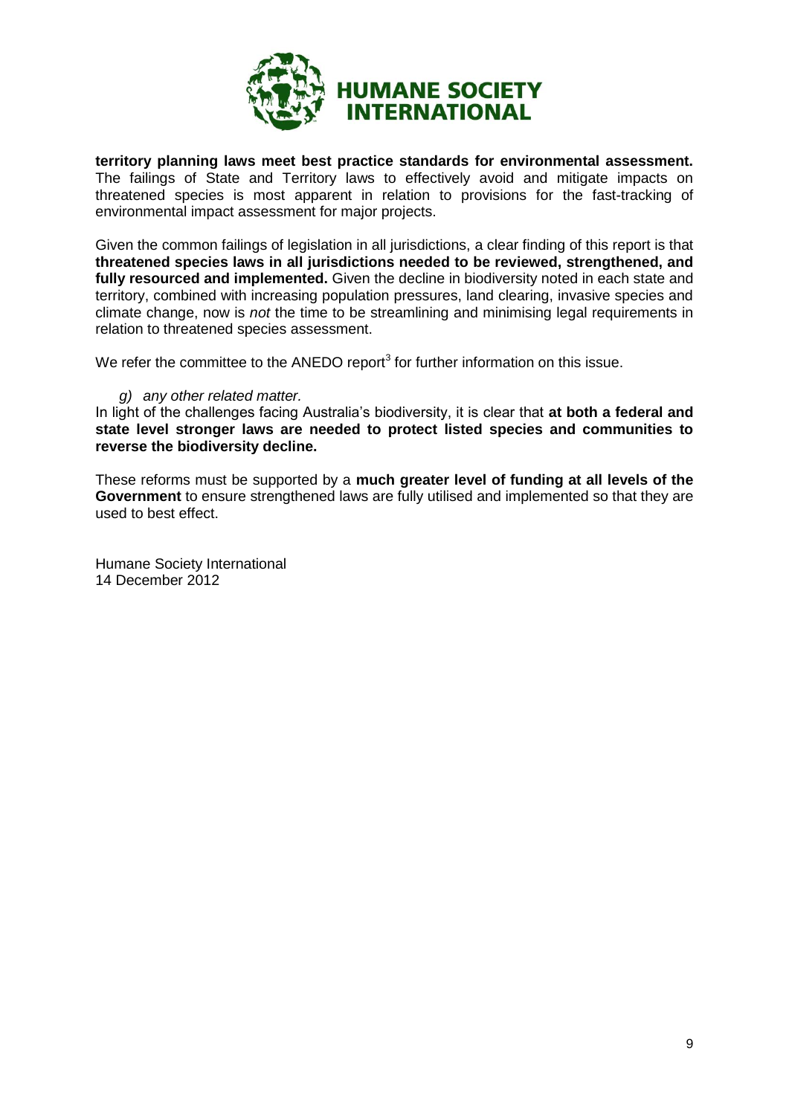

**territory planning laws meet best practice standards for environmental assessment.** The failings of State and Territory laws to effectively avoid and mitigate impacts on threatened species is most apparent in relation to provisions for the fast-tracking of environmental impact assessment for major projects.

Given the common failings of legislation in all jurisdictions, a clear finding of this report is that **threatened species laws in all jurisdictions needed to be reviewed, strengthened, and fully resourced and implemented.** Given the decline in biodiversity noted in each state and territory, combined with increasing population pressures, land clearing, invasive species and climate change, now is *not* the time to be streamlining and minimising legal requirements in relation to threatened species assessment.

We refer the committee to the ANEDO report<sup>[3](#page-7-0)</sup> for further information on this issue.

#### *g) any other related matter.*

In light of the challenges facing Australia's biodiversity, it is clear that **at both a federal and state level stronger laws are needed to protect listed species and communities to reverse the biodiversity decline.**

These reforms must be supported by a **much greater level of funding at all levels of the Government** to ensure strengthened laws are fully utilised and implemented so that they are used to best effect.

Humane Society International 14 December 2012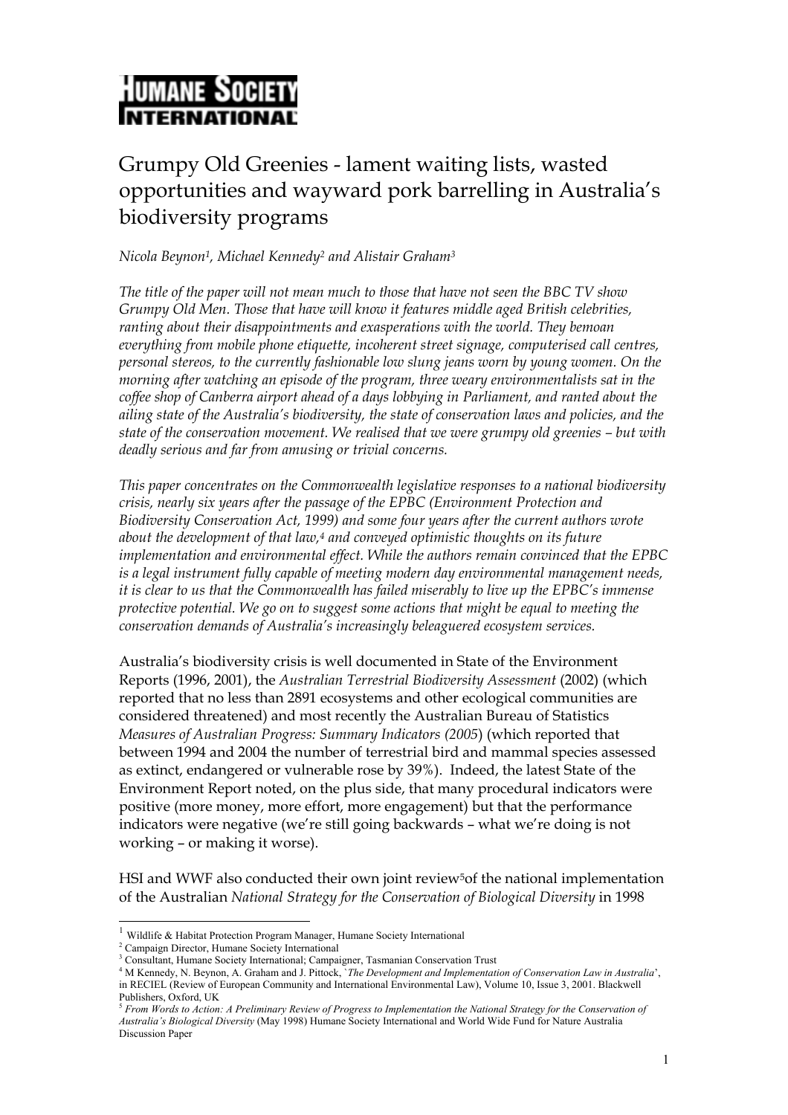

# Grumpy Old Greenies - lament waiting lists, wasted opportunities and wayward pork barrelling in Australia's biodiversity programs

*Nicola Beyno[n1,](#page-11-0) Michael Kennedy[2](#page-11-1) and Alistair Graham[3](#page-11-2)* 

*The title of the paper will not mean much to those that have not seen the BBC TV show Grumpy Old Men. Those that have will know it features middle aged British celebrities, ranting about their disappointments and exasperations with the world. They bemoan everything from mobile phone etiquette, incoherent street signage, computerised call centres, personal stereos, to the currently fashionable low slung jeans worn by young women. On the morning after watching an episode of the program, three weary environmentalists sat in the coffee shop of Canberra airport ahead of a days lobbying in Parliament, and ranted about the ailing state of the Australia's biodiversity, the state of conservation laws and policies, and the state of the conservation movement. We realised that we were grumpy old greenies – but with deadly serious and far from amusing or trivial concerns.* 

*This paper concentrates on the Commonwealth legislative responses to a national biodiversity crisis, nearly six years after the passage of the EPBC (Environment Protection and Biodiversity Conservation Act, 1999) and some four years after the current authors wrote about the development of that law,[4](#page-11-3) and conveyed optimistic thoughts on its future implementation and environmental effect. While the authors remain convinced that the EPBC is a legal instrument fully capable of meeting modern day environmental management needs, it is clear to us that the Commonwealth has failed miserably to live up the EPBC's immense protective potential. We go on to suggest some actions that might be equal to meeting the conservation demands of Australia's increasingly beleaguered ecosystem services.*

Australia's biodiversity crisis is well documented in State of the Environment Reports (1996, 2001), the *Australian Terrestrial Biodiversity Assessment* (2002) (which reported that no less than 2891 ecosystems and other ecological communities are considered threatened) and most recently the Australian Bureau of Statistics *Measures of Australian Progress: Summary Indicators (2005*) (which reported that between 1994 and 2004 the number of terrestrial bird and mammal species assessed as extinct, endangered or vulnerable rose by 39%). Indeed, the latest State of the Environment Report noted, on the plus side, that many procedural indicators were positive (more money, more effort, more engagement) but that the performance indicators were negative (we're still going backwards – what we're doing is not working – or making it worse).

HSI and WWF also conducted their own joint review<sup>5</sup>of the national implementation of the Australian *National Strategy for the Conservation of Biological Diversity* in 1998

<span id="page-11-0"></span> $^{\rm 1}$  Wildlife & Habitat Protection Program Manager, Humane Society International

<span id="page-11-1"></span><sup>&</sup>lt;sup>2</sup> Campaign Director, Humane Society International

<span id="page-11-2"></span>

<span id="page-11-3"></span><sup>&</sup>lt;sup>3</sup> Consultant, Humane Society International; Campaigner, Tasmanian Conservation Trust<br><sup>4</sup> M Kennedy, N. Beynon, A. Graham and J. Pittock, *`The Development and Implementation of Conservation Law in Australia'*, in RECIEL (Review of European Community and International Environmental Law), Volume 10, Issue 3, 2001. Blackwell

<span id="page-11-4"></span>Publishers, Oxford, UK<br><sup>5</sup> *From Words to Action: A Preliminary Review of Progress to Implementation the National Strategy for the Conservation of Australia's Biological Diversity* (May 1998) Humane Society International and World Wide Fund for Nature Australia Discussion Paper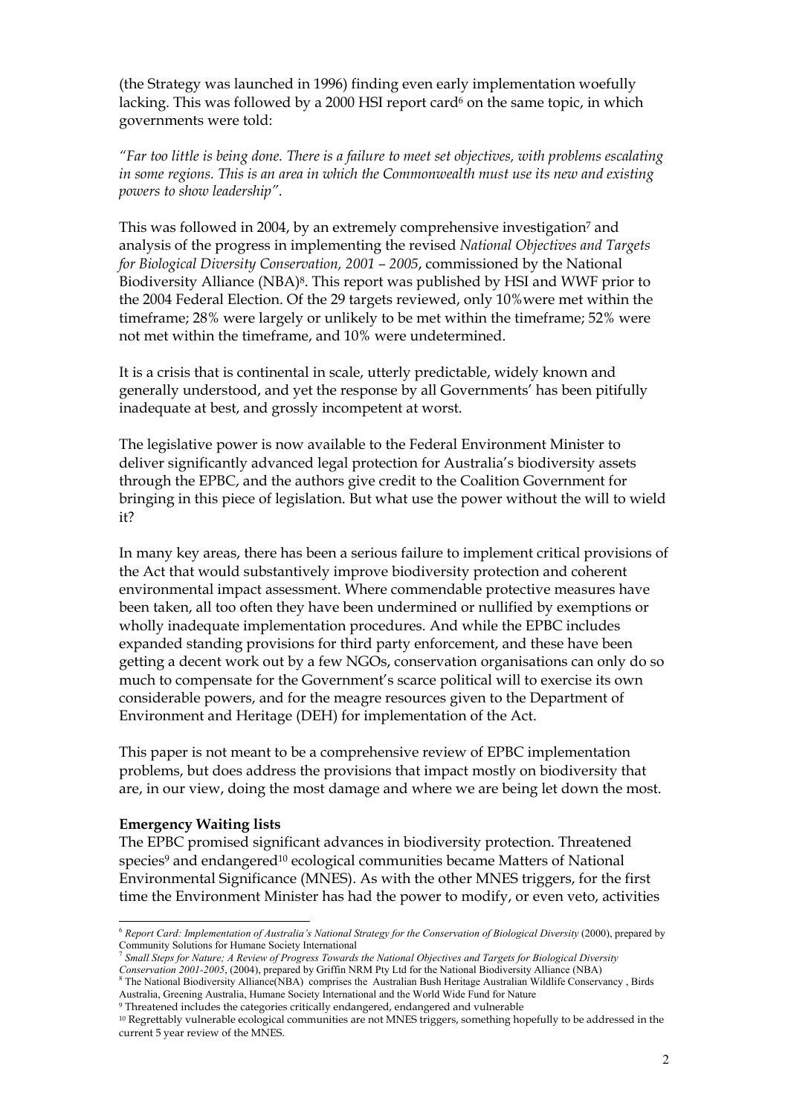(the Strategy was launched in 1996) finding even early implementation woefully lacking. This was followed by a 2000 HSI report card<sup>6</sup> on the same topic, in which governments were told:

*"Far too little is being done. There is a failure to meet set objectives, with problems escalating in some regions. This is an area in which the Commonwealth must use its new and existing powers to show leadership".*

This was followed in 2004, by an extremely comprehensive investigation<sup>7</sup> and analysis of the progress in implementing the revised *National Objectives and Targets for Biological Diversity Conservation, 2001 – 2005*, commissioned by the National Biodiversity Alliance (NBA)[8.](#page-12-2) This report was published by HSI and WWF prior to the 2004 Federal Election. Of the 29 targets reviewed, only 10%were met within the timeframe; 28% were largely or unlikely to be met within the timeframe; 52% were not met within the timeframe, and 10% were undetermined.

It is a crisis that is continental in scale, utterly predictable, widely known and generally understood, and yet the response by all Governments' has been pitifully inadequate at best, and grossly incompetent at worst.

The legislative power is now available to the Federal Environment Minister to deliver significantly advanced legal protection for Australia's biodiversity assets through the EPBC, and the authors give credit to the Coalition Government for bringing in this piece of legislation. But what use the power without the will to wield it?

In many key areas, there has been a serious failure to implement critical provisions of the Act that would substantively improve biodiversity protection and coherent environmental impact assessment. Where commendable protective measures have been taken, all too often they have been undermined or nullified by exemptions or wholly inadequate implementation procedures. And while the EPBC includes expanded standing provisions for third party enforcement, and these have been getting a decent work out by a few NGOs, conservation organisations can only do so much to compensate for the Government's scarce political will to exercise its own considerable powers, and for the meagre resources given to the Department of Environment and Heritage (DEH) for implementation of the Act.

This paper is not meant to be a comprehensive review of EPBC implementation problems, but does address the provisions that impact mostly on biodiversity that are, in our view, doing the most damage and where we are being let down the most.

#### **Emergency Waiting lists**

l

The EPBC promised significant advances in biodiversity protection. Threatened species<sup>9</sup> and endangered<sup>10</sup> ecological communities became Matters of National Environmental Significance (MNES). As with the other MNES triggers, for the first time the Environment Minister has had the power to modify, or even veto, activities

<span id="page-12-1"></span>*Conservation 2001-2005*, (2004), prepared by Griffin NRM Pty Ltd for the National Biodiversity Alliance (NBA)

<span id="page-12-0"></span><sup>6</sup> *Report Card: Implementation of Australia's National Strategy for the Conservation of Biological Diversity* (2000), prepared by Community Solutions for Humane Society International *The Steps for Simall Steps for Siological Diversity* The *Targets for Biological Diversity Targets for Biological Diversity Parameters for Biological Diversity* 

<span id="page-12-2"></span><sup>&</sup>lt;sup>8</sup> The National Biodiversity Alliance(NBA) comprises the Australian Bush Heritage Australian Wildlife Conservancy, Birds Australia, Greening Australia, Humane Society International and the World Wide Fund for Nature

<span id="page-12-4"></span><span id="page-12-3"></span><sup>&</sup>lt;sup>9</sup> Threatened includes the categories critically endangered, endangered and vulnerable<br><sup>10</sup> Regrettably vulnerable ecological communities are not MNES triggers, something hopefully to be addressed in the current 5 year review of the MNES.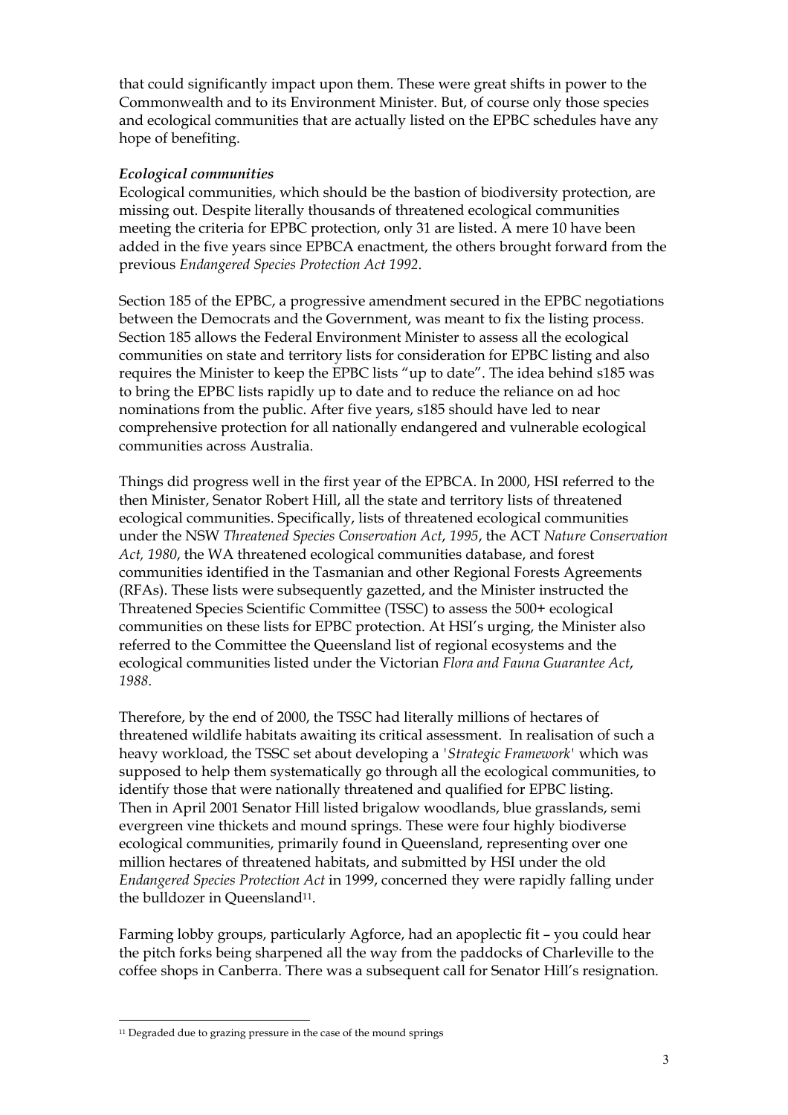that could significantly impact upon them. These were great shifts in power to the Commonwealth and to its Environment Minister. But, of course only those species and ecological communities that are actually listed on the EPBC schedules have any hope of benefiting.

# *Ecological communities*

Ecological communities, which should be the bastion of biodiversity protection, are missing out. Despite literally thousands of threatened ecological communities meeting the criteria for EPBC protection, only 31 are listed. A mere 10 have been added in the five years since EPBCA enactment, the others brought forward from the previous *Endangered Species Protection Act 1992*.

Section 185 of the EPBC, a progressive amendment secured in the EPBC negotiations between the Democrats and the Government, was meant to fix the listing process. Section 185 allows the Federal Environment Minister to assess all the ecological communities on state and territory lists for consideration for EPBC listing and also requires the Minister to keep the EPBC lists "up to date". The idea behind s185 was to bring the EPBC lists rapidly up to date and to reduce the reliance on ad hoc nominations from the public. After five years, s185 should have led to near comprehensive protection for all nationally endangered and vulnerable ecological communities across Australia.

Things did progress well in the first year of the EPBCA. In 2000, HSI referred to the then Minister, Senator Robert Hill, all the state and territory lists of threatened ecological communities. Specifically, lists of threatened ecological communities under the NSW *Threatened Species Conservation Act*, *1995*, the ACT *Nature Conservation Act, 1980*, the WA threatened ecological communities database, and forest communities identified in the Tasmanian and other Regional Forests Agreements (RFAs). These lists were subsequently gazetted, and the Minister instructed the Threatened Species Scientific Committee (TSSC) to assess the 500+ ecological communities on these lists for EPBC protection. At HSI's urging, the Minister also referred to the Committee the Queensland list of regional ecosystems and the ecological communities listed under the Victorian *Flora and Fauna Guarantee Act*, *1988*.

Therefore, by the end of 2000, the TSSC had literally millions of hectares of threatened wildlife habitats awaiting its critical assessment. In realisation of such a heavy workload, the TSSC set about developing a *'Strategic Framework'* which was supposed to help them systematically go through all the ecological communities, to identify those that were nationally threatened and qualified for EPBC listing. Then in April 2001 Senator Hill listed brigalow woodlands, blue grasslands, semi evergreen vine thickets and mound springs. These were four highly biodiverse ecological communities, primarily found in Queensland, representing over one million hectares of threatened habitats, and submitted by HSI under the old *Endangered Species Protection Act* in 1999, concerned they were rapidly falling under the bulldozer in Queensland<sup>11</sup>.

Farming lobby groups, particularly Agforce, had an apoplectic fit – you could hear the pitch forks being sharpened all the way from the paddocks of Charleville to the coffee shops in Canberra. There was a subsequent call for Senator Hill's resignation.

<span id="page-13-0"></span><sup>&</sup>lt;sup>11</sup> Degraded due to grazing pressure in the case of the mound springs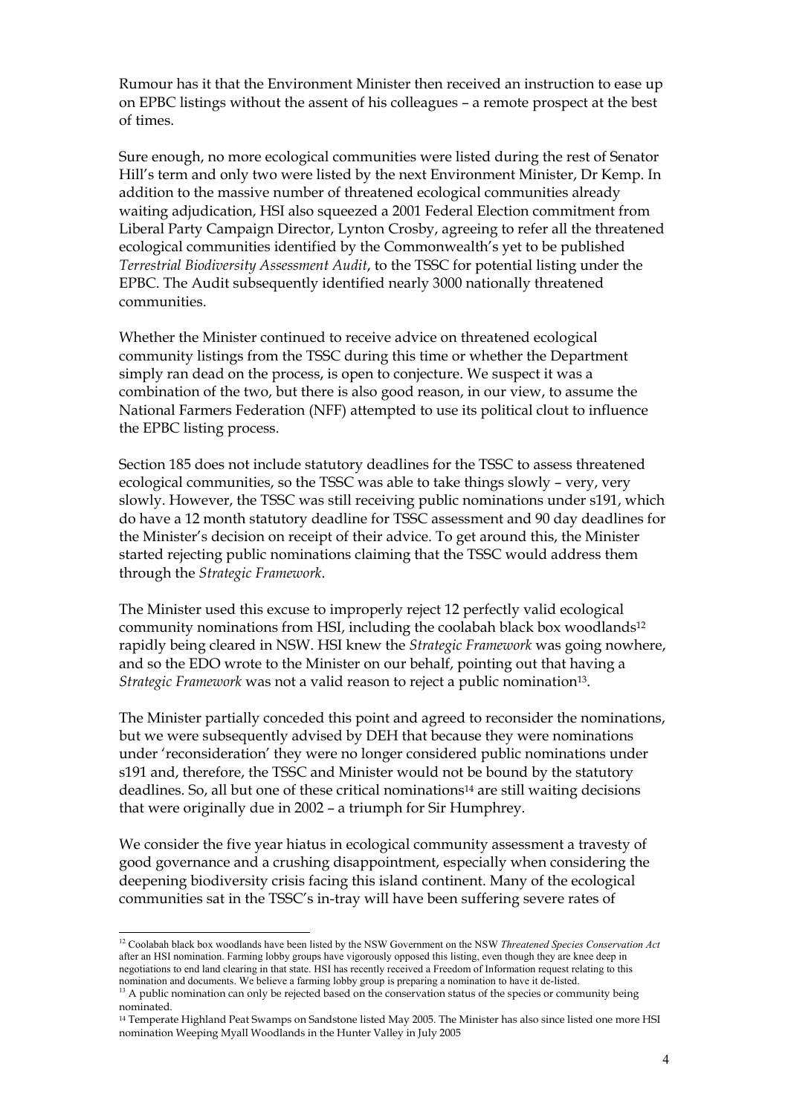Rumour has it that the Environment Minister then received an instruction to ease up on EPBC listings without the assent of his colleagues – a remote prospect at the best of times.

Sure enough, no more ecological communities were listed during the rest of Senator Hill's term and only two were listed by the next Environment Minister, Dr Kemp. In addition to the massive number of threatened ecological communities already waiting adjudication, HSI also squeezed a 2001 Federal Election commitment from Liberal Party Campaign Director, Lynton Crosby, agreeing to refer all the threatened ecological communities identified by the Commonwealth's yet to be published *Terrestrial Biodiversity Assessment Audit*, to the TSSC for potential listing under the EPBC. The Audit subsequently identified nearly 3000 nationally threatened communities.

Whether the Minister continued to receive advice on threatened ecological community listings from the TSSC during this time or whether the Department simply ran dead on the process, is open to conjecture. We suspect it was a combination of the two, but there is also good reason, in our view, to assume the National Farmers Federation (NFF) attempted to use its political clout to influence the EPBC listing process.

Section 185 does not include statutory deadlines for the TSSC to assess threatened ecological communities, so the TSSC was able to take things slowly – very, very slowly. However, the TSSC was still receiving public nominations under s191, which do have a 12 month statutory deadline for TSSC assessment and 90 day deadlines for the Minister's decision on receipt of their advice. To get around this, the Minister started rejecting public nominations claiming that the TSSC would address them through the *Strategic Framework*.

The Minister used this excuse to improperly reject 12 perfectly valid ecological community nominations from HSI, including the coolabah black box woodlands[12](#page-14-0) rapidly being cleared in NSW. HSI knew the *Strategic Framework* was going nowhere, and so the EDO wrote to the Minister on our behalf, pointing out that having a *Strategic Framework* was not a valid reason to reject a public nomination<sup>13</sup>.

The Minister partially conceded this point and agreed to reconsider the nominations, but we were subsequently advised by DEH that because they were nominations under 'reconsideration' they were no longer considered public nominations under s191 and, therefore, the TSSC and Minister would not be bound by the statutory deadlines. So, all but one of these critical nominations[14 a](#page-14-2)re still waiting decisions that were originally due in 2002 – a triumph for Sir Humphrey.

We consider the five year hiatus in ecological community assessment a travesty of good governance and a crushing disappointment, especially when considering the deepening biodiversity crisis facing this island continent. Many of the ecological communities sat in the TSSC's in-tray will have been suffering severe rates of

<span id="page-14-0"></span><sup>&</sup>lt;sup>12</sup> Coolabah black box woodlands have been listed by the NSW Government on the NSW *Threatened Species Conservation Act* after an HSI nomination. Farming lobby groups have vigorously opposed this listing, even though they are knee deep in negotiations to end land clearing in that state. HSI has recently received a Freedom of Information request relating to this nomination and documents. We believe a farming lobby group is preparing a nomination to have it d

<span id="page-14-1"></span> $13$  A public nomination can only be rejected based on the conservation status of the species or community being nominated.

<span id="page-14-2"></span><sup>14</sup> Temperate Highland Peat Swamps on Sandstone listed May 2005. The Minister has also since listed one more HSI nomination Weeping Myall Woodlands in the Hunter Valley in July 2005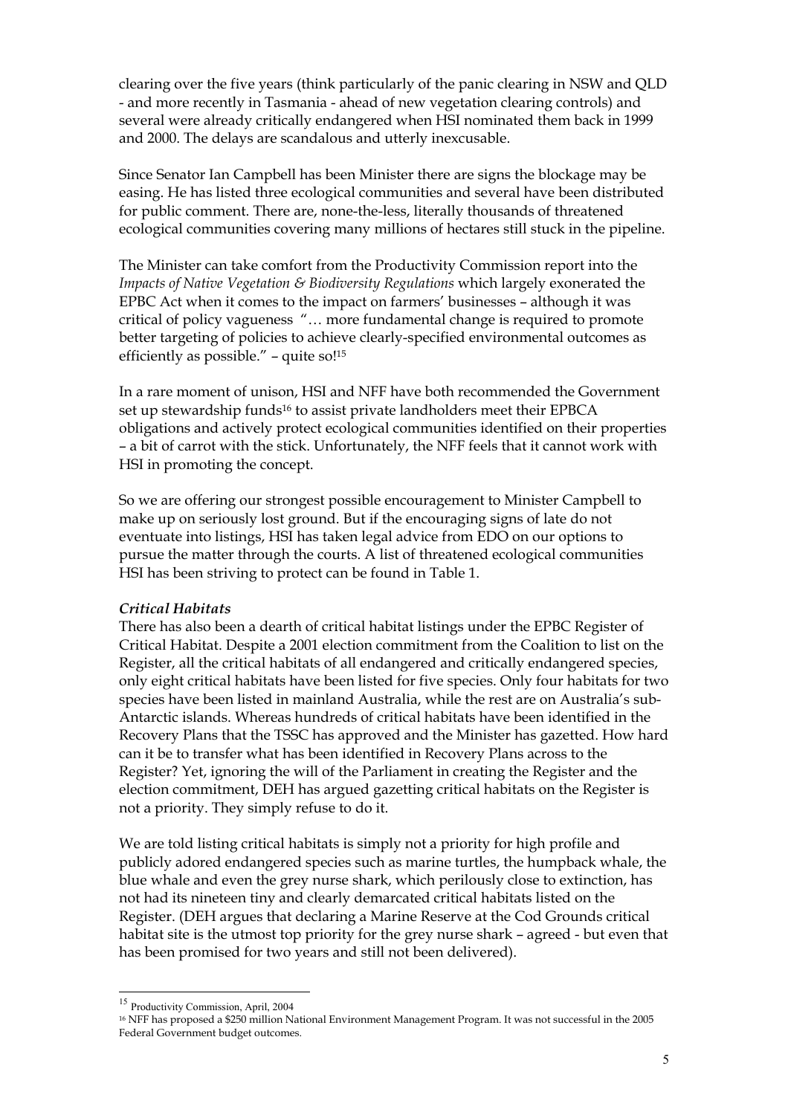clearing over the five years (think particularly of the panic clearing in NSW and QLD - and more recently in Tasmania - ahead of new vegetation clearing controls) and several were already critically endangered when HSI nominated them back in 1999 and 2000. The delays are scandalous and utterly inexcusable.

Since Senator Ian Campbell has been Minister there are signs the blockage may be easing. He has listed three ecological communities and several have been distributed for public comment. There are, none-the-less, literally thousands of threatened ecological communities covering many millions of hectares still stuck in the pipeline.

The Minister can take comfort from the Productivity Commission report into the *Impacts of Native Vegetation & Biodiversity Regulations* which largely exonerated the EPBC Act when it comes to the impact on farmers' businesses – although it was critical of policy vagueness "… more fundamental change is required to promote better targeting of policies to achieve clearly-specified environmental outcomes as efficiently as possible." – quite so[!15](#page-15-0)

In a rare moment of unison, HSI and NFF have both recommended the Government set up stewardship funds<sup>16</sup> to assist private landholders meet their EPBCA obligations and actively protect ecological communities identified on their properties – a bit of carrot with the stick. Unfortunately, the NFF feels that it cannot work with HSI in promoting the concept.

So we are offering our strongest possible encouragement to Minister Campbell to make up on seriously lost ground. But if the encouraging signs of late do not eventuate into listings, HSI has taken legal advice from EDO on our options to pursue the matter through the courts. A list of threatened ecological communities HSI has been striving to protect can be found in Table 1.

# *Critical Habitats*

There has also been a dearth of critical habitat listings under the EPBC Register of Critical Habitat. Despite a 2001 election commitment from the Coalition to list on the Register, all the critical habitats of all endangered and critically endangered species, only eight critical habitats have been listed for five species. Only four habitats for two species have been listed in mainland Australia, while the rest are on Australia's sub-Antarctic islands. Whereas hundreds of critical habitats have been identified in the Recovery Plans that the TSSC has approved and the Minister has gazetted. How hard can it be to transfer what has been identified in Recovery Plans across to the Register? Yet, ignoring the will of the Parliament in creating the Register and the election commitment, DEH has argued gazetting critical habitats on the Register is not a priority. They simply refuse to do it.

We are told listing critical habitats is simply not a priority for high profile and publicly adored endangered species such as marine turtles, the humpback whale, the blue whale and even the grey nurse shark, which perilously close to extinction, has not had its nineteen tiny and clearly demarcated critical habitats listed on the Register. (DEH argues that declaring a Marine Reserve at the Cod Grounds critical habitat site is the utmost top priority for the grey nurse shark – agreed - but even that has been promised for two years and still not been delivered).

<span id="page-15-0"></span><sup>15</sup> Productivity Commission, April, 2004

<span id="page-15-1"></span><sup>16</sup> NFF has proposed a \$250 million National Environment Management Program. It was not successful in the 2005 Federal Government budget outcomes.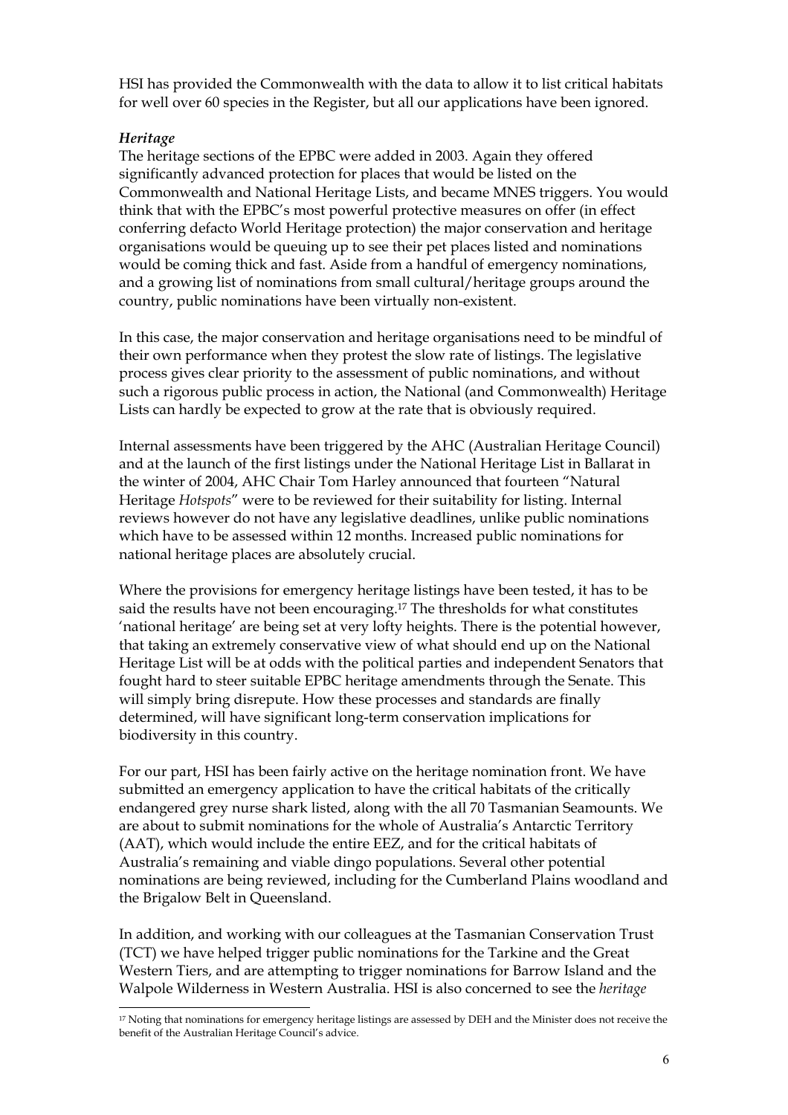HSI has provided the Commonwealth with the data to allow it to list critical habitats for well over 60 species in the Register, but all our applications have been ignored.

# *Heritage*

l

The heritage sections of the EPBC were added in 2003. Again they offered significantly advanced protection for places that would be listed on the Commonwealth and National Heritage Lists, and became MNES triggers. You would think that with the EPBC's most powerful protective measures on offer (in effect conferring defacto World Heritage protection) the major conservation and heritage organisations would be queuing up to see their pet places listed and nominations would be coming thick and fast. Aside from a handful of emergency nominations, and a growing list of nominations from small cultural/heritage groups around the country, public nominations have been virtually non-existent.

In this case, the major conservation and heritage organisations need to be mindful of their own performance when they protest the slow rate of listings. The legislative process gives clear priority to the assessment of public nominations, and without such a rigorous public process in action, the National (and Commonwealth) Heritage Lists can hardly be expected to grow at the rate that is obviously required.

Internal assessments have been triggered by the AHC (Australian Heritage Council) and at the launch of the first listings under the National Heritage List in Ballarat in the winter of 2004, AHC Chair Tom Harley announced that fourteen "Natural Heritage *Hotspots*" were to be reviewed for their suitability for listing. Internal reviews however do not have any legislative deadlines, unlike public nominations which have to be assessed within 12 months. Increased public nominations for national heritage places are absolutely crucial.

Where the provisions for emergency heritage listings have been tested, it has to be said the results have not been encouraging[.17](#page-16-0) The thresholds for what constitutes 'national heritage' are being set at very lofty heights. There is the potential however, that taking an extremely conservative view of what should end up on the National Heritage List will be at odds with the political parties and independent Senators that fought hard to steer suitable EPBC heritage amendments through the Senate. This will simply bring disrepute. How these processes and standards are finally determined, will have significant long-term conservation implications for biodiversity in this country.

For our part, HSI has been fairly active on the heritage nomination front. We have submitted an emergency application to have the critical habitats of the critically endangered grey nurse shark listed, along with the all 70 Tasmanian Seamounts. We are about to submit nominations for the whole of Australia's Antarctic Territory (AAT), which would include the entire EEZ, and for the critical habitats of Australia's remaining and viable dingo populations. Several other potential nominations are being reviewed, including for the Cumberland Plains woodland and the Brigalow Belt in Queensland.

In addition, and working with our colleagues at the Tasmanian Conservation Trust (TCT) we have helped trigger public nominations for the Tarkine and the Great Western Tiers, and are attempting to trigger nominations for Barrow Island and the Walpole Wilderness in Western Australia. HSI is also concerned to see the *heritage* 

<span id="page-16-0"></span><sup>&</sup>lt;sup>17</sup> Noting that nominations for emergency heritage listings are assessed by DEH and the Minister does not receive the benefit of the Australian Heritage Council's advice.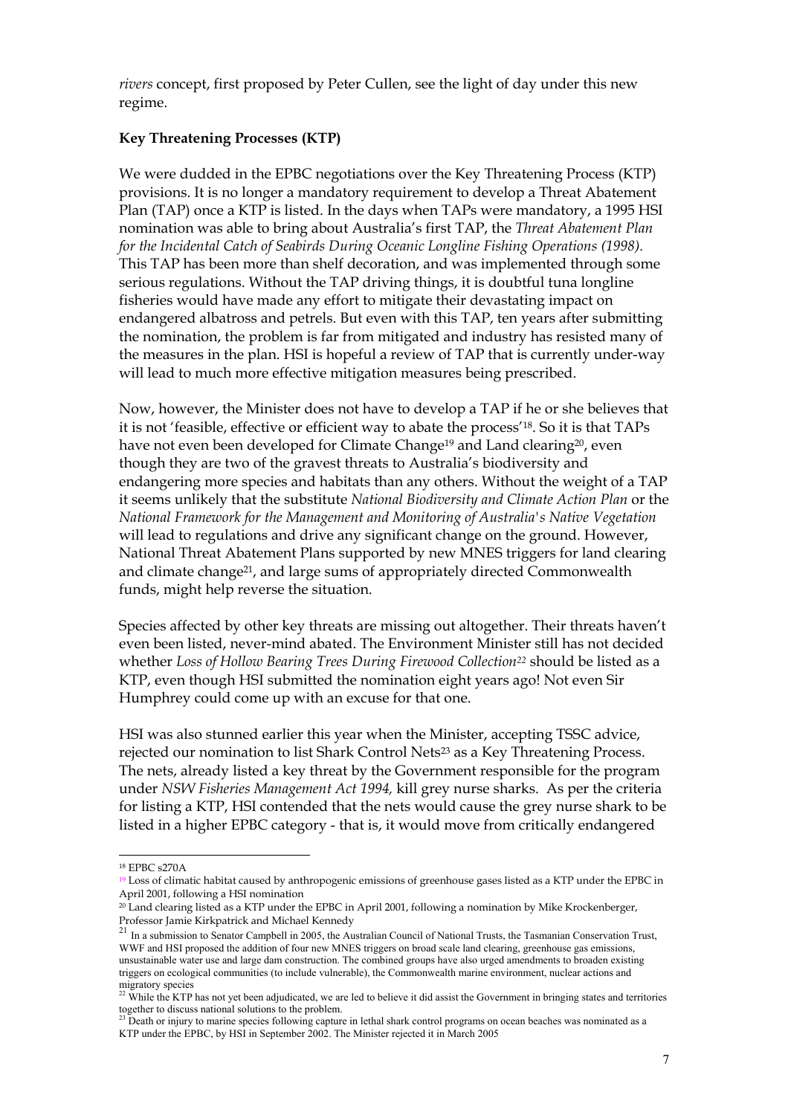*rivers* concept, first proposed by Peter Cullen, see the light of day under this new regime.

# **Key Threatening Processes (KTP)**

We were dudded in the EPBC negotiations over the Key Threatening Process (KTP) provisions. It is no longer a mandatory requirement to develop a Threat Abatement Plan (TAP) once a KTP is listed. In the days when TAPs were mandatory, a 1995 HSI nomination was able to bring about Australia's first TAP, the *Threat Abatement Plan for the Incidental Catch of Seabirds During Oceanic Longline Fishing Operations (1998).*  This TAP has been more than shelf decoration, and was implemented through some serious regulations. Without the TAP driving things, it is doubtful tuna longline fisheries would have made any effort to mitigate their devastating impact on endangered albatross and petrels. But even with this TAP, ten years after submitting the nomination, the problem is far from mitigated and industry has resisted many of the measures in the plan. HSI is hopeful a review of TAP that is currently under-way will lead to much more effective mitigation measures being prescribed.

Now, however, the Minister does not have to develop a TAP if he or she believes that it is not 'feasible, effective or efficient way to abate the process'[18.](#page-17-0) So it is that TAPs have not even been developed for Climate Change<sup>19</sup> and Land clearing<sup>20</sup>, even though they are two of the gravest threats to Australia's biodiversity and endangering more species and habitats than any others. Without the weight of a TAP it seems unlikely that the substitute *National Biodiversity and Climate Action Plan* or the *National Framework for the Management and Monitoring of Australia's Native Vegetation* will lead to regulations and drive any significant change on the ground. However, National Threat Abatement Plans supported by new MNES triggers for land clearing and climate change<sup>21</sup>, and large sums of appropriately directed Commonwealth funds, might help reverse the situation.

Species affected by other key threats are missing out altogether. Their threats haven't even been listed, never-mind abated. The Environment Minister still has not decided whether *Loss of Hollow Bearing Trees During Firewood Collection[22](#page-17-4)* should be listed as a KTP, even though HSI submitted the nomination eight years ago! Not even Sir Humphrey could come up with an excuse for that one.

HSI was also stunned earlier this year when the Minister, accepting TSSC advice, rejected our nomination to list Shark Control Nets<sup>23</sup> as a Key Threatening Process. The nets, already listed a key threat by the Government responsible for the program under *NSW Fisheries Management Act 1994,* kill grey nurse sharks. As per the criteria for listing a KTP, HSI contended that the nets would cause the grey nurse shark to be listed in a higher EPBC category - that is, it would move from critically endangered

<span id="page-17-0"></span><sup>18</sup> EPBC s270A

<span id="page-17-1"></span><sup>19</sup> Loss of climatic habitat caused by anthropogenic emissions of greenhouse gases listed as a KTP under the EPBC in April 2001, following a HSI nomination

<span id="page-17-2"></span><sup>20</sup> Land clearing listed as a KTP under the EPBC in April 2001, following a nomination by Mike Krockenberger,

<span id="page-17-3"></span>Professor Jamie Kirkpatrick and Michael Kennedy 21 In a submission to Senator Campbell in 2005, the Australian Council of National Trusts, the Tasmanian Conservation Trust, WWF and HSI proposed the addition of four new MNES triggers on broad scale land clearing, greenhouse gas emissions, unsustainable water use and large dam construction. The combined groups have also urged amendments to broaden existing triggers on ecological communities (to include vulnerable), the Commonwealth marine environment, nuclear actions and migratory species<br><sup>22</sup> While the KTP has not yet been adjudicated, we are led to believe it did assist the Government in bringing states and territories

<span id="page-17-4"></span>together to discuss national solutions to the problem. together to discuss national solutions to the problem.<br><sup>23</sup> Death or injury to marine species following capture in lethal shark control programs on ocean beaches was nominated as a

<span id="page-17-5"></span>KTP under the EPBC, by HSI in September 2002. The Minister rejected it in March 2005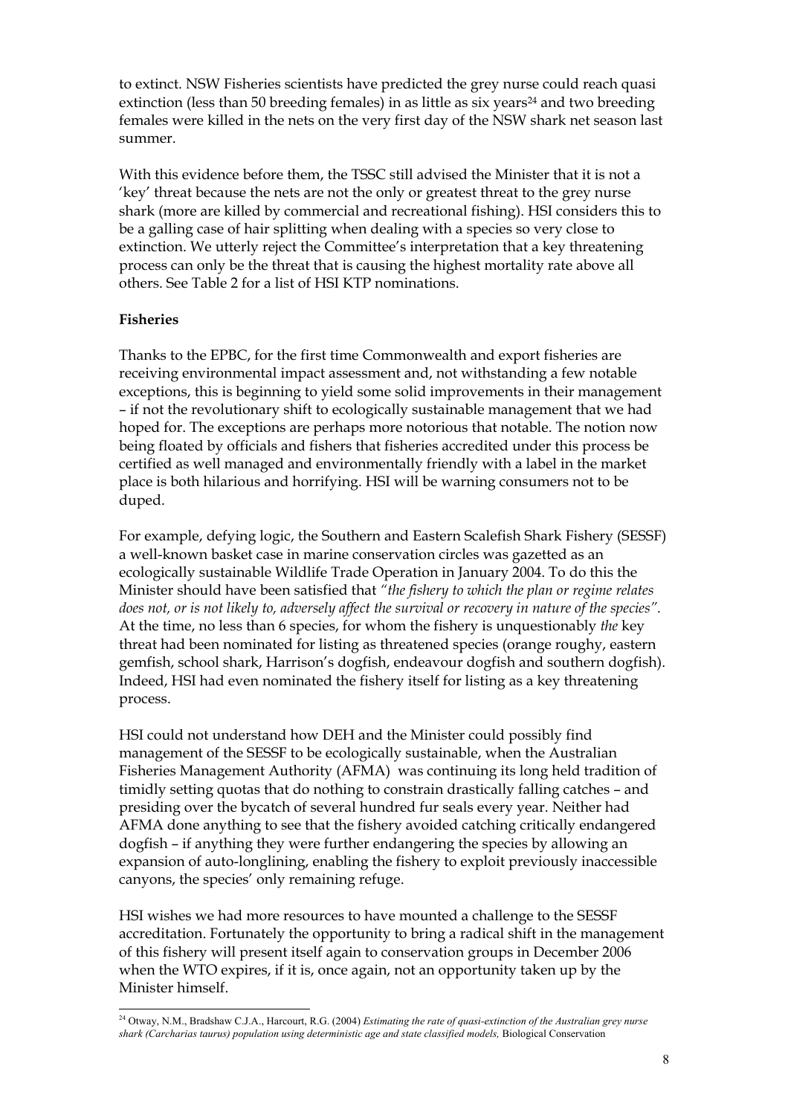to extinct. NSW Fisheries scientists have predicted the grey nurse could reach quasi extinction (less than 50 breeding females) in as little as six years<sup>24</sup> and two breeding females were killed in the nets on the very first day of the NSW shark net season last summer.

With this evidence before them, the TSSC still advised the Minister that it is not a 'key' threat because the nets are not the only or greatest threat to the grey nurse shark (more are killed by commercial and recreational fishing). HSI considers this to be a galling case of hair splitting when dealing with a species so very close to extinction. We utterly reject the Committee's interpretation that a key threatening process can only be the threat that is causing the highest mortality rate above all others. See Table 2 for a list of HSI KTP nominations.

# **Fisheries**

Thanks to the EPBC, for the first time Commonwealth and export fisheries are receiving environmental impact assessment and, not withstanding a few notable exceptions, this is beginning to yield some solid improvements in their management – if not the revolutionary shift to ecologically sustainable management that we had hoped for. The exceptions are perhaps more notorious that notable. The notion now being floated by officials and fishers that fisheries accredited under this process be certified as well managed and environmentally friendly with a label in the market place is both hilarious and horrifying. HSI will be warning consumers not to be duped.

For example, defying logic, the Southern and Eastern Scalefish Shark Fishery (SESSF) a well-known basket case in marine conservation circles was gazetted as an ecologically sustainable Wildlife Trade Operation in January 2004. To do this the Minister should have been satisfied that *"the fishery to which the plan or regime relates does not, or is not likely to, adversely affect the survival or recovery in nature of the species".* At the time, no less than 6 species, for whom the fishery is unquestionably *the* key threat had been nominated for listing as threatened species (orange roughy, eastern gemfish, school shark, Harrison's dogfish, endeavour dogfish and southern dogfish). Indeed, HSI had even nominated the fishery itself for listing as a key threatening process.

HSI could not understand how DEH and the Minister could possibly find management of the SESSF to be ecologically sustainable, when the Australian Fisheries Management Authority (AFMA) was continuing its long held tradition of timidly setting quotas that do nothing to constrain drastically falling catches – and presiding over the bycatch of several hundred fur seals every year. Neither had AFMA done anything to see that the fishery avoided catching critically endangered dogfish – if anything they were further endangering the species by allowing an expansion of auto-longlining, enabling the fishery to exploit previously inaccessible canyons, the species' only remaining refuge.

HSI wishes we had more resources to have mounted a challenge to the SESSF accreditation. Fortunately the opportunity to bring a radical shift in the management of this fishery will present itself again to conservation groups in December 2006 when the WTO expires, if it is, once again, not an opportunity taken up by the Minister himself.

<span id="page-18-0"></span>l 24 Otway, N.M., Bradshaw C.J.A., Harcourt, R.G. (2004) *Estimating the rate of quasi-extinction of the Australian grey nurse*  shark (Carcharias taurus) population using deterministic age and state classified models, Biological Conservation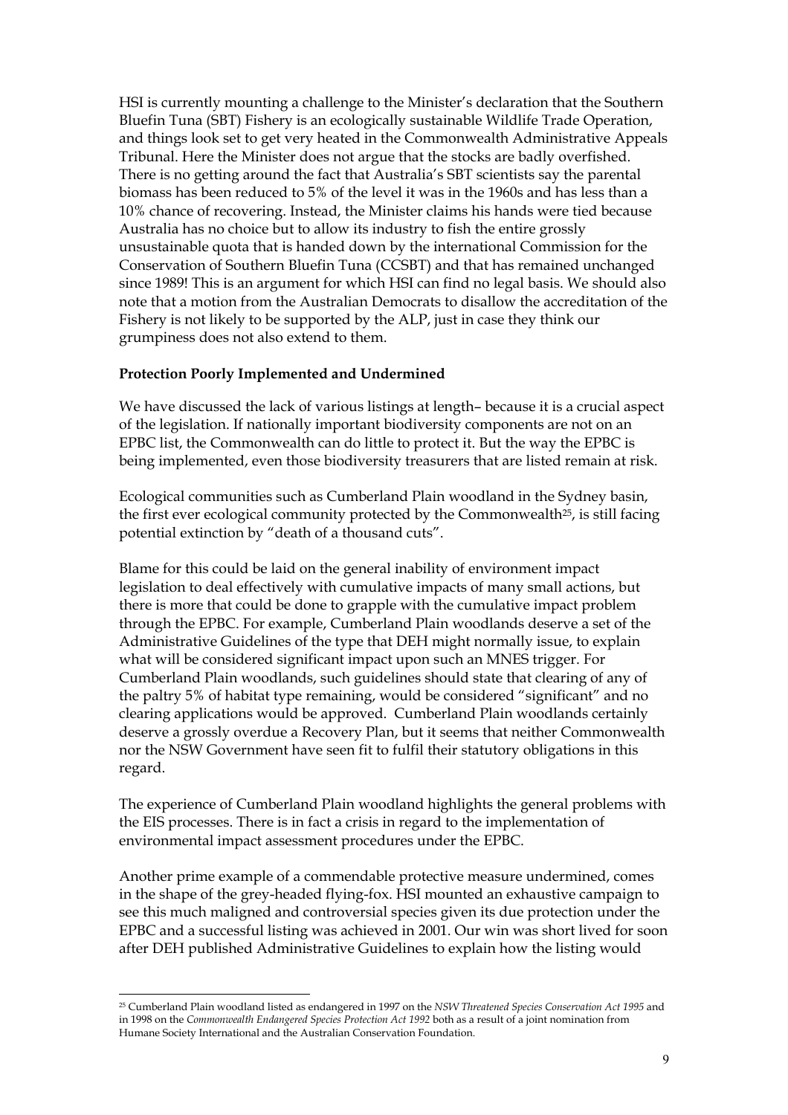HSI is currently mounting a challenge to the Minister's declaration that the Southern Bluefin Tuna (SBT) Fishery is an ecologically sustainable Wildlife Trade Operation, and things look set to get very heated in the Commonwealth Administrative Appeals Tribunal. Here the Minister does not argue that the stocks are badly overfished. There is no getting around the fact that Australia's SBT scientists say the parental biomass has been reduced to 5% of the level it was in the 1960s and has less than a 10% chance of recovering. Instead, the Minister claims his hands were tied because Australia has no choice but to allow its industry to fish the entire grossly unsustainable quota that is handed down by the international Commission for the Conservation of Southern Bluefin Tuna (CCSBT) and that has remained unchanged since 1989! This is an argument for which HSI can find no legal basis. We should also note that a motion from the Australian Democrats to disallow the accreditation of the Fishery is not likely to be supported by the ALP, just in case they think our grumpiness does not also extend to them.

# **Protection Poorly Implemented and Undermined**

We have discussed the lack of various listings at length– because it is a crucial aspect of the legislation. If nationally important biodiversity components are not on an EPBC list, the Commonwealth can do little to protect it. But the way the EPBC is being implemented, even those biodiversity treasurers that are listed remain at risk.

Ecological communities such as Cumberland Plain woodland in the Sydney basin, the first ever ecological community protected by the Commonwealth[25,](#page-19-0) is still facing potential extinction by "death of a thousand cuts".

Blame for this could be laid on the general inability of environment impact legislation to deal effectively with cumulative impacts of many small actions, but there is more that could be done to grapple with the cumulative impact problem through the EPBC. For example, Cumberland Plain woodlands deserve a set of the Administrative Guidelines of the type that DEH might normally issue, to explain what will be considered significant impact upon such an MNES trigger. For Cumberland Plain woodlands, such guidelines should state that clearing of any of the paltry 5% of habitat type remaining, would be considered "significant" and no clearing applications would be approved. Cumberland Plain woodlands certainly deserve a grossly overdue a Recovery Plan, but it seems that neither Commonwealth nor the NSW Government have seen fit to fulfil their statutory obligations in this regard.

The experience of Cumberland Plain woodland highlights the general problems with the EIS processes. There is in fact a crisis in regard to the implementation of environmental impact assessment procedures under the EPBC.

Another prime example of a commendable protective measure undermined, comes in the shape of the grey-headed flying-fox. HSI mounted an exhaustive campaign to see this much maligned and controversial species given its due protection under the EPBC and a successful listing was achieved in 2001. Our win was short lived for soon after DEH published Administrative Guidelines to explain how the listing would

<span id="page-19-0"></span>l 25 Cumberland Plain woodland listed as endangered in 1997 on the *NSW Threatened Species Conservation Act 1995* and in 1998 on the *Commonwealth Endangered Species Protection Act 1992* both as a result of a joint nomination from Humane Society International and the Australian Conservation Foundation.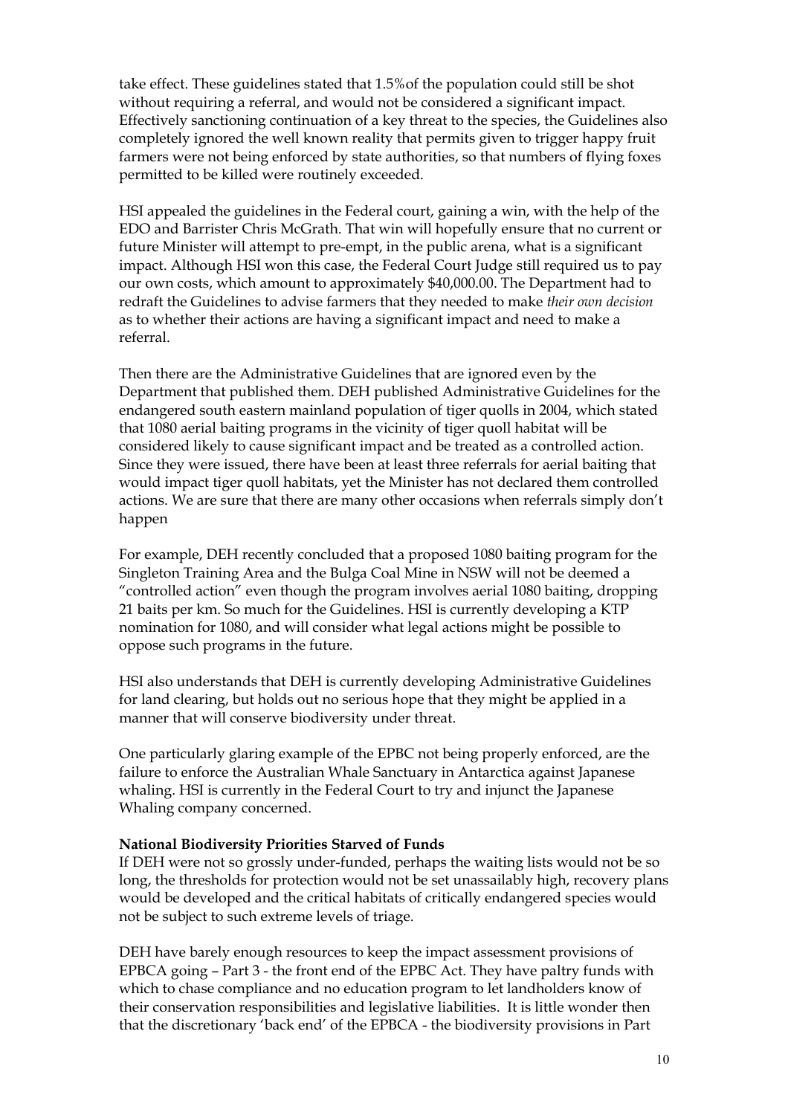take effect. These guidelines stated that 1.5%of the population could still be shot without requiring a referral, and would not be considered a significant impact. Effectively sanctioning continuation of a key threat to the species, the Guidelines also completely ignored the well known reality that permits given to trigger happy fruit farmers were not being enforced by state authorities, so that numbers of flying foxes permitted to be killed were routinely exceeded.

HSI appealed the guidelines in the Federal court, gaining a win, with the help of the EDO and Barrister Chris McGrath. That win will hopefully ensure that no current or future Minister will attempt to pre-empt, in the public arena, what is a significant impact. Although HSI won this case, the Federal Court Judge still required us to pay our own costs, which amount to approximately \$40,000.00. The Department had to redraft the Guidelines to advise farmers that they needed to make *their own decision* as to whether their actions are having a significant impact and need to make a referral.

Then there are the Administrative Guidelines that are ignored even by the Department that published them. DEH published Administrative Guidelines for the endangered south eastern mainland population of tiger quolls in 2004, which stated that 1080 aerial baiting programs in the vicinity of tiger quoll habitat will be considered likely to cause significant impact and be treated as a controlled action. Since they were issued, there have been at least three referrals for aerial baiting that would impact tiger quoll habitats, yet the Minister has not declared them controlled actions. We are sure that there are many other occasions when referrals simply don't happen

For example, DEH recently concluded that a proposed 1080 baiting program for the Singleton Training Area and the Bulga Coal Mine in NSW will not be deemed a "controlled action" even though the program involves aerial 1080 baiting, dropping 21 baits per km. So much for the Guidelines. HSI is currently developing a KTP nomination for 1080, and will consider what legal actions might be possible to oppose such programs in the future.

HSI also understands that DEH is currently developing Administrative Guidelines for land clearing, but holds out no serious hope that they might be applied in a manner that will conserve biodiversity under threat.

One particularly glaring example of the EPBC not being properly enforced, are the failure to enforce the Australian Whale Sanctuary in Antarctica against Japanese whaling. HSI is currently in the Federal Court to try and injunct the Japanese Whaling company concerned.

# **National Biodiversity Priorities Starved of Funds**

If DEH were not so grossly under-funded, perhaps the waiting lists would not be so long, the thresholds for protection would not be set unassailably high, recovery plans would be developed and the critical habitats of critically endangered species would not be subject to such extreme levels of triage.

DEH have barely enough resources to keep the impact assessment provisions of EPBCA going – Part 3 - the front end of the EPBC Act. They have paltry funds with which to chase compliance and no education program to let landholders know of their conservation responsibilities and legislative liabilities. It is little wonder then that the discretionary 'back end' of the EPBCA - the biodiversity provisions in Part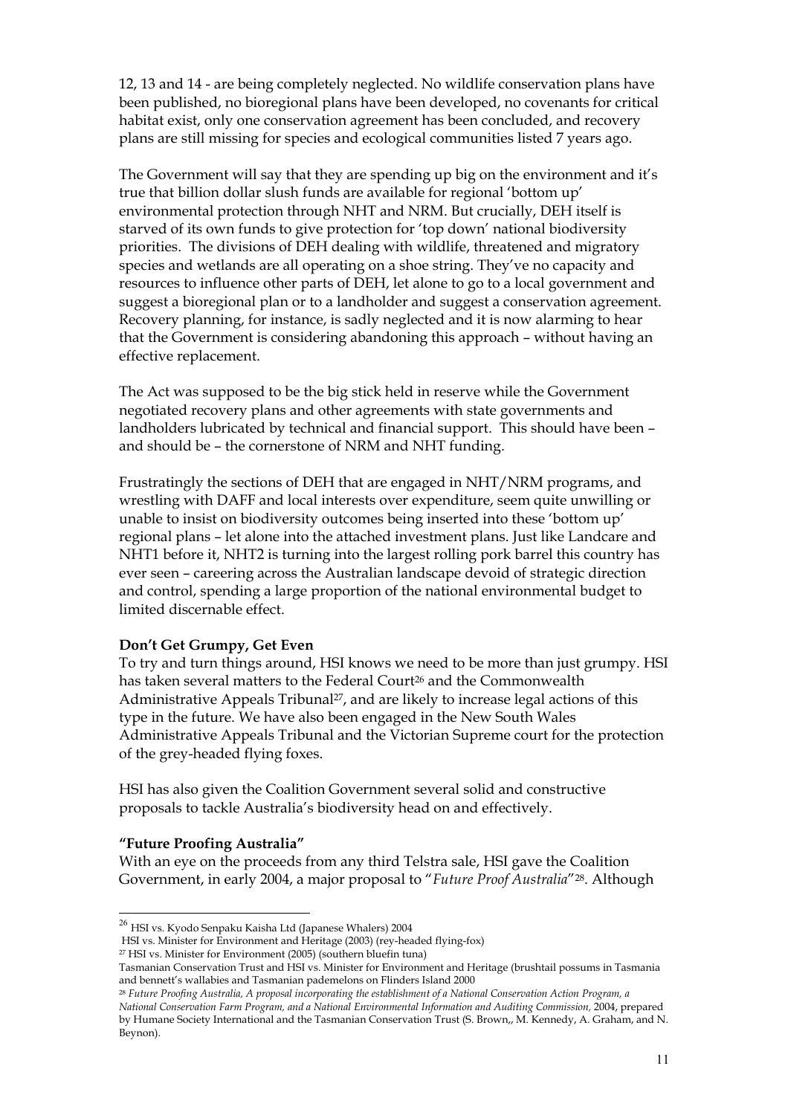12, 13 and 14 - are being completely neglected. No wildlife conservation plans have been published, no bioregional plans have been developed, no covenants for critical habitat exist, only one conservation agreement has been concluded, and recovery plans are still missing for species and ecological communities listed 7 years ago.

The Government will say that they are spending up big on the environment and it's true that billion dollar slush funds are available for regional 'bottom up' environmental protection through NHT and NRM. But crucially, DEH itself is starved of its own funds to give protection for 'top down' national biodiversity priorities. The divisions of DEH dealing with wildlife, threatened and migratory species and wetlands are all operating on a shoe string. They've no capacity and resources to influence other parts of DEH, let alone to go to a local government and suggest a bioregional plan or to a landholder and suggest a conservation agreement. Recovery planning, for instance, is sadly neglected and it is now alarming to hear that the Government is considering abandoning this approach – without having an effective replacement.

The Act was supposed to be the big stick held in reserve while the Government negotiated recovery plans and other agreements with state governments and landholders lubricated by technical and financial support. This should have been – and should be – the cornerstone of NRM and NHT funding.

Frustratingly the sections of DEH that are engaged in NHT/NRM programs, and wrestling with DAFF and local interests over expenditure, seem quite unwilling or unable to insist on biodiversity outcomes being inserted into these 'bottom up' regional plans – let alone into the attached investment plans. Just like Landcare and NHT1 before it, NHT2 is turning into the largest rolling pork barrel this country has ever seen – careering across the Australian landscape devoid of strategic direction and control, spending a large proportion of the national environmental budget to limited discernable effect.

# **Don't Get Grumpy, Get Even**

To try and turn things around, HSI knows we need to be more than just grumpy. HSI has taken several matters to the Federal Court<sup>26</sup> and the Commonwealth Administrative Appeals Tribunal<sup>27</sup>, and are likely to increase legal actions of this type in the future. We have also been engaged in the New South Wales Administrative Appeals Tribunal and the Victorian Supreme court for the protection of the grey-headed flying foxes.

HSI has also given the Coalition Government several solid and constructive proposals to tackle Australia's biodiversity head on and effectively.

#### **"Future Proofing Australia"**

l

With an eye on the proceeds from any third Telstra sale, HSI gave the Coalition Government, in early 2004, a major proposal to "*Future Proof Australia*["28.](#page-21-2) Although

<span id="page-21-0"></span> $^{26}$  HSI vs. Kyodo Senpaku Kaisha Ltd (Japanese Whalers) 2004

HSI vs. Minister for Environment and Heritage (2003) (rey-headed flying-fox)

<span id="page-21-1"></span><sup>27</sup> HSI vs. Minister for Environment (2005) (southern bluefin tuna)

Tasmanian Conservation Trust and HSI vs. Minister for Environment and Heritage (brushtail possums in Tasmania and bennett's wallabies and Tasmanian pademelons on Flinders Island 2000 28 *Future Proofing Australia, A proposal incorporating the establishment of a National Conservation Action Program, a*

<span id="page-21-2"></span>

*National Conservation Farm Program, and a National Environmental Information and Auditing Commission,* 2004, prepared by Humane Society International and the Tasmanian Conservation Trust (S. Brown,, M. Kennedy, A. Graham, and N. Beynon).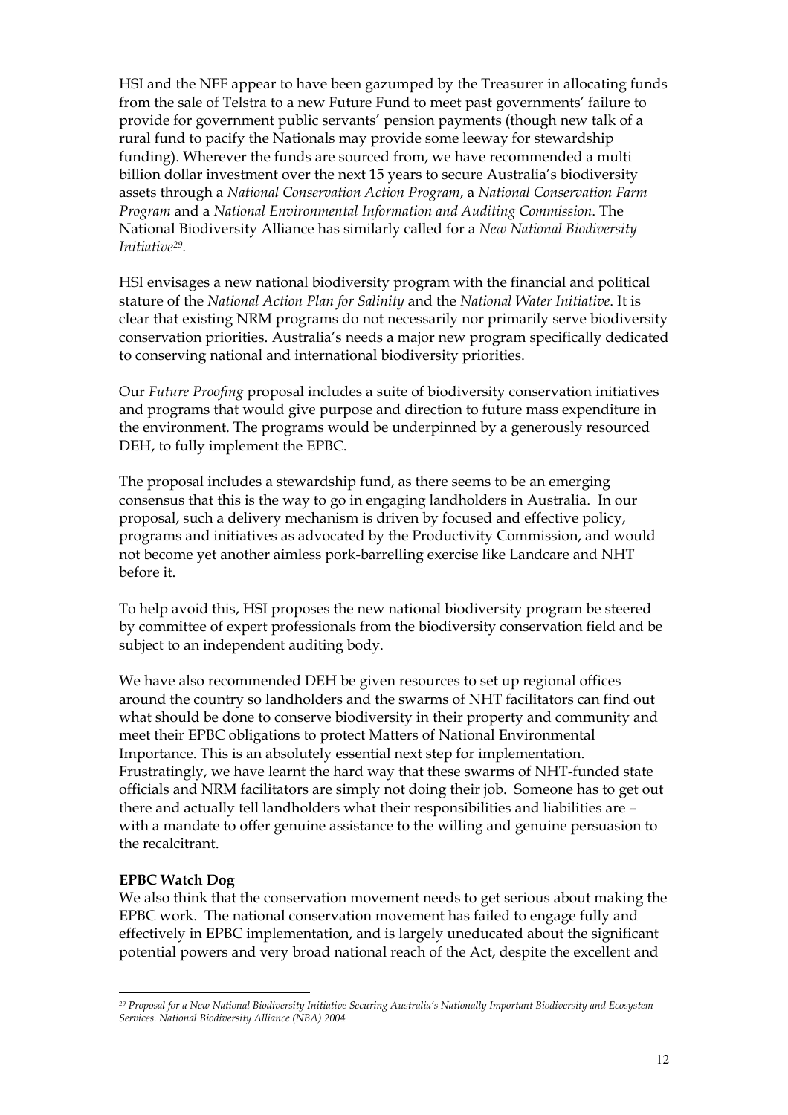HSI and the NFF appear to have been gazumped by the Treasurer in allocating funds from the sale of Telstra to a new Future Fund to meet past governments' failure to provide for government public servants' pension payments (though new talk of a rural fund to pacify the Nationals may provide some leeway for stewardship funding). Wherever the funds are sourced from, we have recommended a multi billion dollar investment over the next 15 years to secure Australia's biodiversity assets through a *National Conservation Action Program*, a *National Conservation Farm Program* and a *National Environmental Information and Auditing Commission*. The National Biodiversity Alliance has similarly called for a *New National Biodiversity Initiative[29.](#page-22-0)*

HSI envisages a new national biodiversity program with the financial and political stature of the *National Action Plan for Salinity* and the *National Water Initiative*. It is clear that existing NRM programs do not necessarily nor primarily serve biodiversity conservation priorities. Australia's needs a major new program specifically dedicated to conserving national and international biodiversity priorities.

Our *Future Proofing* proposal includes a suite of biodiversity conservation initiatives and programs that would give purpose and direction to future mass expenditure in the environment. The programs would be underpinned by a generously resourced DEH, to fully implement the EPBC.

The proposal includes a stewardship fund, as there seems to be an emerging consensus that this is the way to go in engaging landholders in Australia. In our proposal, such a delivery mechanism is driven by focused and effective policy, programs and initiatives as advocated by the Productivity Commission, and would not become yet another aimless pork-barrelling exercise like Landcare and NHT before it.

To help avoid this, HSI proposes the new national biodiversity program be steered by committee of expert professionals from the biodiversity conservation field and be subject to an independent auditing body.

We have also recommended DEH be given resources to set up regional offices around the country so landholders and the swarms of NHT facilitators can find out what should be done to conserve biodiversity in their property and community and meet their EPBC obligations to protect Matters of National Environmental Importance. This is an absolutely essential next step for implementation. Frustratingly, we have learnt the hard way that these swarms of NHT-funded state officials and NRM facilitators are simply not doing their job. Someone has to get out there and actually tell landholders what their responsibilities and liabilities are – with a mandate to offer genuine assistance to the willing and genuine persuasion to the recalcitrant.

#### **EPBC Watch Dog**

l

We also think that the conservation movement needs to get serious about making the EPBC work. The national conservation movement has failed to engage fully and effectively in EPBC implementation, and is largely uneducated about the significant potential powers and very broad national reach of the Act, despite the excellent and

<span id="page-22-0"></span>*<sup>29</sup> Proposal for a New National Biodiversity Initiative Securing Australia's Nationally Important Biodiversity and Ecosystem Services. National Biodiversity Alliance (NBA) 2004*